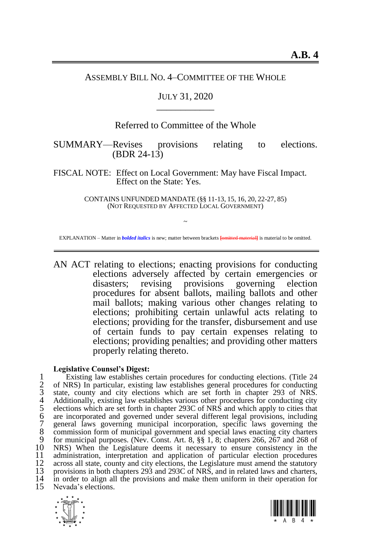#### ASSEMBLY BILL NO. 4–COMMITTEE OF THE WHOLE

## JULY 31, 2020 \_\_\_\_\_\_\_\_\_\_\_\_

## Referred to Committee of the Whole

SUMMARY—Revises provisions relating to elections. (BDR 24-13)

FISCAL NOTE: Effect on Local Government: May have Fiscal Impact. Effect on the State: Yes.

> CONTAINS UNFUNDED MANDATE (§§ 11-13, 15, 16, 20, 22-27, 85) (NOT REQUESTED BY AFFECTED LOCAL GOVERNMENT)

~ EXPLANATION – Matter in *bolded italics* is new; matter between brackets **[**omitted material**]** is material to be omitted.

AN ACT relating to elections; enacting provisions for conducting elections adversely affected by certain emergencies or disasters; revising provisions governing election procedures for absent ballots, mailing ballots and other mail ballots; making various other changes relating to elections; prohibiting certain unlawful acts relating to elections; providing for the transfer, disbursement and use of certain funds to pay certain expenses relating to elections; providing penalties; and providing other matters properly relating thereto.

#### **Legislative Counsel's Digest:**

1 Existing law establishes certain procedures for conducting elections. (Title 24<br>1 of NRS) In particular, existing law establishes general procedures for conducting<br>3 state, county and city elections which are set forth i 2 of NRS) In particular, existing law establishes general procedures for conducting state, county and city elections which are set forth in chapter 293 of NRS. 4 Additionally, existing law establishes various other procedures for conducting city 5 elections which are set forth in chapter 293C of NRS and which apply to cities that are incorporated and governed under several different legal provisions, including 7 general laws governing municipal incorporation, specific laws governing the 8 commission form of municipal government and special laws enacting city charters 9 for municipal purposes. (Nev. Const. Art. 8,  $88\,1$ , 8; chapters 266, 267 and 268 of 9 for municipal purposes. (Nev. Const. Art. 8, §§ 1, 8; chapters 266, 267 and 268 of 10 NRS) When the Legislature deems it necessary to ensure consistency in the 10 NRS) When the Legislature deems it necessary to ensure consistency in the 11 administration, interpretation and application of particular election procedures 12 across all state, county and city elections, the Legislature must amend the statutory<br>13 provisions in both chapters 293 and 293C of NRS, and in related laws and charters. 13 provisions in both chapters 293 and 293C of NRS, and in related laws and charters, 14 in order to align all the provisions and make them uniform in their operation for 14 in order to align all the provisions and make them uniform in their operation for 15 Nevada's elections. Nevada's elections.



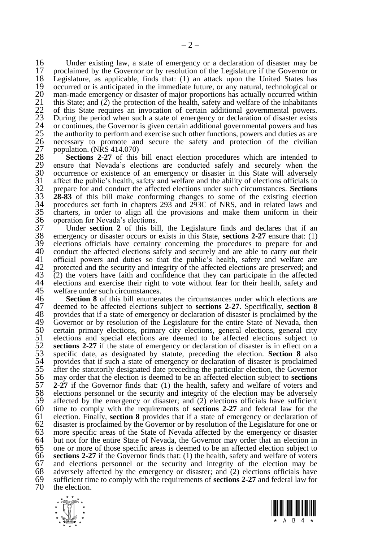16 Under existing law, a state of emergency or a declaration of disaster may be 17 proclaimed by the Governor or by resolution of the Legislature if the Governor or 17 proclaimed by the Governor or by resolution of the Legislature if the Governor or 18 Legislature, as applicable, finds that: (1) an attack upon the United States has 18 Legislature, as applicable, finds that: (1) an attack upon the United States has 19 occurred or is anticipated in the immediate future, or any natural, technological or man-made emergency or disaster of major proportions has actually occurred within 20 man-made emergency or disaster of major proportions has actually occurred within 21 this State; and (2) the protection of the health, safety and welfare of the inhabitants 21 this State; and (2) the protection of the health, safety and welfare of the inhabitants<br>22 of this State requires an invocation of certain additional governmental powers.<br>23 During the period when such a state of emerge 22 of this State requires an invocation of certain additional governmental powers. During the period when such a state of emergency or declaration of disaster exists 24 or continues, the Governor is given certain additional governmental powers and has 25 the authority to perform and exercise such other functions, powers and duties as are population. (NRS  $414.070$ )

26 necessary to promote and secure the safety and protection of the civilian population. (NRS 414.070)<br>28 **Sections 2-27** of this bill enact election procedures which are intended to ensure that Nevada's elections are cond 28 **Sections [2](#page-4-0)[-27](#page-19-0)** of this bill enact election procedures which are intended to 29 ensure that Nevada's elections are conducted safely and securely when the 30 occurrence or existence of an emergency or disaster in this State will adversely 31 affect the public's health, safety and welfare and the ability of elections officials to 31 affect the public's health, safety and welfare and the ability of elections officials to prepare for and conduct the affected elections under such circumstances. Sections 32 prepare for and conduct the affected elections under such circumstances. **Sections**  33 **[28](#page-19-1)[-83](#page-58-0)** of this bill make conforming changes to some of the existing election 34 procedures set forth in chapters 293 and 293C of NRS, and in related laws and  $35$  charters, in order to align all the provisions and make them uniform in their  $36$  operation for Nevada's elections. 36 operation for Nevada's elections.<br>37 Under **section 2** of this bil

37 Under **section [2](#page-4-0)** of this bill, the Legislature finds and declares that if an emergency or disaster occurs or exists in this State, **sections 2-27** ensure that: (1) 38 emergency or disaster occurs or exists in this State, **sections [2](#page-4-0)[-27](#page-19-0)** ensure that: (1) 39 elections officials have certainty concerning the procedures to prepare for and 40 conduct the affected elections safely and securely and are able to carry out their 40 conduct the affected elections safely and securely and are able to carry out their 41 official powers and duties so that the public's health, safety and welfare are 41 official powers and duties so that the public's health, safety and welfare are 42 protected and the security and integrity of the affected elections are preserved: and 42 protected and the security and integrity of the affected elections are preserved; and 43 (2) the voters have faith and confidence that they can participate in the affected  $\frac{1}{2}$  (2) the voters have faith and confidence that they can participate in the affected elections and exercise their right to vote without fear for their health, safety and 44 elections and exercise their right to vote without fear for their health, safety and welfare under such circumstances. 45 welfare under such circumstances.<br>46 **Section 8** of this bill enumera

**46 Section [8](#page-5-0)** of this bill enumerates the circumstances under which elections are 47 deemed to be affected elections subject to **sections 2-27**. Specifically, **section 8** 47 deemed to be affected elections subject to **sections [2-](#page-4-0)[27](#page-19-0)**. Specifically, **section [8](#page-5-0)** 48 provides that if a state of emergency or declaration of disaster is proclaimed by the 49 Governor or by resolution of the Legislature for the entire State of Nevada, then 49 Governor or by resolution of the Legislature for the entire State of Nevada, then 50 certain primary elections, primary city elections, general elections, general city 50 certain primary elections, primary city elections, general elections, general city 51 elections and special elections are deemed to be affected elections subject to sections 2-27 if the state of emergency or declaration of disaster is in effect on a 52 **sections [2-](#page-4-0)[27](#page-19-0)** if the state of emergency or declaration of disaster is in effect on a 53 specific date, as designated by statute, preceding the election. **Section [8](#page-5-0)** also 54 provides that if such a state of emergency or declaration of disaster is proclaimed 55 after the statutorily designated date preceding the particular election, the Governor 55 after the statutorily designated date preceding the particular election, the Governor 56 may order that the election is deemed to be an affected election subject to **sections** 56 may order that the election is deemed to be an affected election subject to **sections**  57 **[2](#page-4-0)[-27](#page-19-0)** if the Governor finds that: (1) the health, safety and welfare of voters and elections personnel or the security and integrity of the election may be adversely 58 elections personnel or the security and integrity of the election may be adversely affected by the emergency or disaster: and (2) elections officials have sufficient 59 affected by the emergency or disaster; and  $(2)$  elections officials have sufficient 60 time to comply with the requirements of **sections 2-27** and federal law for the 60 time to comply with the requirements of **sections [2](#page-4-0)[-27](#page-19-0)** and federal law for the 61 election. Finally, **section [8](#page-5-0)** provides that if a state of emergency or declaration of 62 disaster is proclaimed by the Governor or by resolution of the Legislature for one or 63 more specific areas of the State of Nevada affected by the emergency or disaster 63 more specific areas of the State of Nevada affected by the emergency or disaster 64 but not for the entire State of Nevada, the Governor may order that an election in 65 one or more of those specific areas is deemed to be an affected election subject to  $66$  sections 2-27 if the Governor finds that: (1) the health, safety and welfare of voters 66 **section[s 2](#page-4-0)[-27](#page-19-0)** if the Governor finds that: (1) the health, safety and welfare of voters  $67$  and elections personnel or the security and integrity of the election may be adversely affected by the emergency or disaster: and  $(2)$  elections officials have 68 adversely affected by the emergency or disaster; and  $(2)$  elections officials have 69 sufficient time to comply with the requirements of **sections 2-27** and federal law for 69 sufficient time to comply with the requirements of **sections [2-](#page-4-0)[27](#page-19-0)** and federal law for the election.



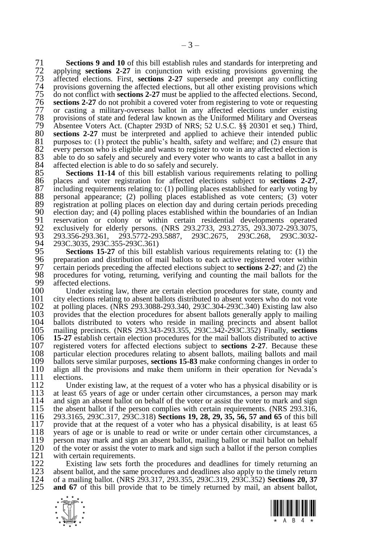71 **Sections [9](#page-7-0) and [10](#page-7-1)** of this bill establish rules and standards for interpreting and 72 applying **sections [2-](#page-4-0)[27](#page-19-0)** in conjunction with existing provisions governing the 73 affected elections. First, **sections [2-](#page-4-0)[27](#page-19-0)** supersede and preempt any conflicting 74 provisions governing the affected elections, but all other existing provisions which<br>75 do not conflict with **sections 2-27** must be applied to the affected elections. Second, 75 do not conflict with **section[s 2](#page-4-0)[-27](#page-19-0)** must be applied to the affected elections. Second, 76 **section[s 2](#page-4-0)[-27](#page-19-0)** do not prohibit a covered voter from registering to vote or requesting 77 or casting a military-overseas ballot in any affected elections under existing 78 provisions of state and federal law known as the Uniformed Military and Overseas 79 Absentee Voters Act. (Chapter 293D of NRS; 52 U.S.C. §§ 20301 et seq.) Third, 80 sections 2-27 must be interpreted and applied to achieve their intended public 80 **sections [2-](#page-4-0)[27](#page-19-0)** must be interpreted and applied to achieve their intended public 81 purposes to: (1) protect the public's health, safety and welfare: and (2) ensure that 81 purposes to: (1) protect the public's health, safety and welfare; and (2) ensure that 82 every person who is eligible and wants to register to vote in any affected election is 82 every person who is eligible and wants to register to vote in any affected election is 83 able to do so safely and securely and every voter who wants to cast a ballot in any 83 able to do so safely and securely and every voter who wants to cast a ballot in any  $84$  affected election is able to do so safely and securely. 84 affected election is able to do so safely and securely.<br>85 **Sections 11-14** of this bill establish various re

85 **Sections [11](#page-8-0)[-14](#page-10-0)** of this bill establish various requirements relating to polling 86 places and voter registration for affected elections subject to **sections 2-27**. 86 places and voter registration for affected elections subject to **sections [2](#page-4-0)[-27](#page-19-0)**,  $87$  including requirements relating to: (1) polling places established for early voting by  $88$  personal appearance: (2) polling places established as vote centers: (3) voter 88 personal appearance; (2) polling places established as vote centers; (3) voter registration at polling places on election day and during certain periods preceding 89 registration at polling places on election day and during certain periods preceding<br>90 election day: and (4) polling places established within the boundaries of an Indian 90 election day; and (4) polling places established within the boundaries of an Indian established within certain residential developments operated 91 reservation or colony or within certain residential developments operated<br>92 exclusively for elderly persons. (NRS 293.2733, 293.2735, 293.3072-293.3075,<br>93 293.356-293.361, 293.5772-293.5887, 293C.2675, 293C.268, 293C. exclusively for elderly persons. (NRS 293.2733, 293.2735, 293.3072-293.3075, 93 293.356-293.361, 293.5772-293.5887, 293C.2675, 293C.268, 293C.3032- 94 293C.3035, 293C.355-293C.361)<br>95 **Sections 15-27** of this bill e

95 **Sections [15](#page-11-0)[-27](#page-19-0)** of this bill establish various requirements relating to: (1) the 96 preparation and distribution of mail ballots to each active registered voter within  $97$  certain periods preceding the affected elections subject to **sections 2-27**; and (2) the 97 certain periods preceding the affected elections subject to **section[s 2](#page-4-0)[-27](#page-19-0)**; and (2) the 98 procedures for voting, returning, verifying and counting the mail ballots for the affected elections. 99 affected elections.<br>100 Under existing

100 Under existing law, there are certain election procedures for state, county and 101 city elections relating to absent ballots distributed to absent voters who do not vote 101 city elections relating to absent ballots distributed to absent voters who do not vote<br>102 at polling places, (NRS 293,3088-293,340, 293C,304-293C,340) Existing law also 102 at polling places. (NRS 293.3088-293.340, 293C.304-293C.340) Existing law also 103 provides that the election procedures for absent ballots generally apply to mailing 104 ballots distributed to voters who reside in mailing precincts and absent ballot 104 ballots distributed to voters who reside in mailing precincts and absent ballot 105 mailing precincts. (NRS 293.343-293.355, 293C.342-293C.352) Finally, **sections**  106 **[15](#page-11-0)[-27](#page-19-0)** establish certain election procedures for the mail ballots distributed to active 107 registered voters for affected elections subject to **sections [2](#page-4-0)[-27](#page-19-0)**. Because these 108 particular election procedures relating to absent ballots, mailing ballots and mail 109 ballots serve similar purposes, **sections 15-83** make conforming changes in order to 109 ballots serve similar purposes, **sections [15-](#page-11-0)[83](#page-58-0)** make conforming changes in order to 110 align all the provisions and make them uniform in their operation for Nevada's 111 elections. 111 elections.<br>112 Under

112 Under existing law, at the request of a voter who has a physical disability or is 113 at least 65 years of age or under certain other circumstances, a person may mark 113 at least 65 years of age or under certain other circumstances, a person may mark 114 and sign an absent ballot on behalf of the voter or assist the voter to mark and sign 114 and sign an absent ballot on behalf of the voter or assist the voter to mark and sign 115 the absent ballot if the person complies with certain requirements (NRS 293.316) 115 the absent ballot if the person complies with certain requirements. (NRS 293.316, 116 293.316, 293C.317, 293C.318) Sections 19, 28, 29, 35, 56, 57 and 65 of this bill 116 293.3165, 293C.317, 293C.318) **Sections [19,](#page-14-0) [28,](#page-19-1) [29,](#page-20-0) [35,](#page-22-0) [56,](#page-40-0) [57](#page-40-1) and [65](#page-44-0)** of this bill 117 provide that at the request of a voter who has a physical disability, is at least 65<br>118 vears of age or is unable to read or write or under certain other circumstances, a 118 years of age or is unable to read or write or under certain other circumstances, a<br>119 person may mark and sign an absent ballot, mailing ballot or mail ballot on behalf 119 person may mark and sign an absent ballot, mailing ballot or mail ballot on behalf 120 of the voter or assist the voter to mark and sign such a ballot if the person complies 120 of the voter or assist the voter to mark and sign such a ballot if the person complies with certain requirements. 121 with certain requirements.<br>122 Existing law sets fort

122 Existing law sets forth the procedures and deadlines for timely returning an 123 absent ballot, and the same procedures and deadlines also apply to the timely return 123 absent ballot, and the same procedures and deadlines also apply to the timely return 124 of a mailing ballot. (NRS 293.317, 293.355, 293C.319, 293C.352) **Sections 20, 37** 124 of a mailing ballot. (NRS 293.317, 293.355, 293C.319, 293C.352) **Sections [20,](#page-14-1) [37](#page-25-0)** and [67](#page-46-0) of this bill provide that to be timely returned by mail, an absent ballot,



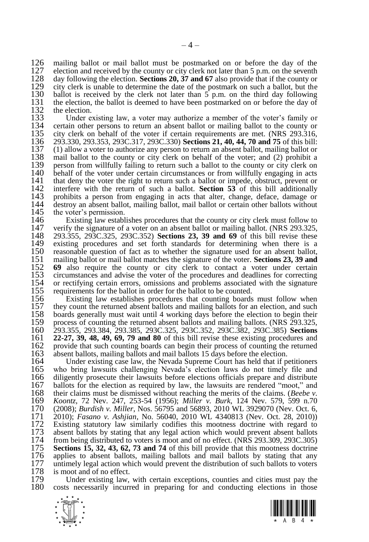126 mailing ballot or mail ballot must be postmarked on or before the day of the 127 election and received by the county or city clerk not later than 5 n m on the seventh 127 election and received by the county or city clerk not later than 5 p.m. on the seventh  $128$  day following the election. **Sections 20. 37 and 67** also provide that if the county or 128 day following the election. **Section[s 20,](#page-14-1) [37](#page-25-0) and [67](#page-46-0)** also provide that if the county or 129 city clerk is unable to determine the date of the postmark on such a ballot, but the 130 ballot is received by the clerk not later than  $5$  p.m. on the third day following 130 ballot is received by the clerk not later than  $\frac{1}{2}$  p.m. on the third day following 131 the election, the ballot is deemed to have been postmarked on or before the day of 131 the election, the ballot is deemed to have been postmarked on or before the day of 132 the election. 132 the election.<br>133 Under e

133 Under existing law, a voter may authorize a member of the voter's family or 134 certain other persons to return an absent ballot or mailing ballot to the county or 134 certain other persons to return an absent ballot or mailing ballot to the county or 135 city clerk on behalf of the voter if certain requirements are met. (NRS 293.316.) 135 city clerk on behalf of the voter if certain requirements are met. (NRS 293.316, 136 293.310, 293.353, 293C.317, 293C.330) **Sections 21, 40, 44, 70 and 75** of this bill: 136 293.330, 293.353, 293C.317, 293C.330) **Section[s 21,](#page-15-0) [40,](#page-28-0) [44,](#page-32-0) [70](#page-50-0) an[d 75](#page-53-0)** of this bill: 137 (1) allow a voter to authorize any person to return an absent ballot, mailing ballot or 138 mail ballot to the county or city clerk on behalf of the voter: and (2) prohibit a 138 mail ballot to the county or city clerk on behalf of the voter; and (2) prohibit a 139 person from willfully failing to return such a ballot to the county or city clerk on 139 person from willfully failing to return such a ballot to the county or city clerk on 140 behalf of the voter under certain circumstances or from willfully engaging in acts 140 behalf of the voter under certain circumstances or from willfully engaging in acts 141 that deny the voter the right to return such a ballot or impede, obstruct, prevent or 141 that deny the voter the right to return such a ballot or impede, obstruct, prevent or 142 interfere with the return of such a ballot. **Section 53** of this bill additionally 142 interfere with the return of such a ballot. **Section [53](#page-38-0)** of this bill additionally 143 prohibits a person from engaging in acts that alter, change, deface, damage or 144 destroy an absent ballot, mailing ballot, mail ballot or certain other ballots without 144 destroy an absent ballot, mailing ballot, mail ballot or certain other ballots without 145 the voter's permission. 145 the voter's permission.<br>146 Existing law estable

146 Existing law establishes procedures that the county or city clerk must follow to 147 verify the signature of a voter on an absent ballot or mailing ballot (NRS 293.325) 147 verify the signature of a voter on an absent ballot or mailing ballot. (NRS 293.325,  $293.325$ ,  $293C.325$ ,  $293C.352$ ) **Sections 23, 39 and 69** of this bill revise these 148 293.355, 293C.325, 293C.352) **Sections [23,](#page-16-0) [39](#page-26-0) and [69](#page-48-0)** of this bill revise these 149 existing procedures and set forth standards for determining when there is a 150 reasonable question of fact as to whether the signature used for an absent ballot. 150 reasonable question of fact as to whether the signature used for an absent ballot, 151 mailing ballot or mail ballot matches the signature of the voter. **Sections 23, 39 and** 151 mailing ballot or mail ballot matches the signature of the voter. **Section[s 23,](#page-16-0) [39](#page-26-0) and**  152 **[69](#page-48-0)** also require the county or city clerk to contact a voter under certain circumstances and advise the voter of the procedures and deadlines for correcting 153 circumstances and advise the voter of the procedures and deadlines for correcting 154 or rectifying certain errors, omissions and problems associated with the signature 154 or rectifying certain errors, omissions and problems associated with the signature 155 requirements for the ballot in order for the ballot to be counted. 155 requirements for the ballot in order for the ballot to be counted.<br>156 Existing law establishes procedures that counting boards

156 Existing law establishes procedures that counting boards must follow when<br>157 they count the returned absent ballots and mailing ballots for an election, and such 157 they count the returned absent ballots and mailing ballots for an election, and such 158 boards generally must wait until 4 working days before the election to begin their 158 boards generally must wait until 4 working days before the election to begin their 159 process of counting the returned absent ballots and mailing ballots. (NRS 293.325, 159 process of counting the returned absent ballots and mailing ballots. (NRS 293.325, 160 293.355, 293.384, 293.385, 293C.325, 293C.385, 293C.385) Sections 160 293.355, 293.384, 293.385, 293C.325, 293C.352, 293C.382, 293C.385) **Sections**  161 **[22](#page-16-1)[-27,](#page-19-0) [39,](#page-26-0) [48,](#page-35-0) [49,](#page-35-1) [69,](#page-48-0) [79](#page-55-0) and [80](#page-55-1)** of this bill revise these existing procedures and 162 provide that such counting boards can begin their process of counting the returned 163 absent ballots, mailing ballots and mail ballots 15 days before the election. 163 absent ballots, mailing ballots and mail ballots 15 days before the election.<br>164 Under existing case law, the Nevada Supreme Court has held that if p

164 Under existing case law, the Nevada Supreme Court has held that if petitioners<br>165 who bring lawsuits challenging Nevada's election laws do not timely file and 165 who bring lawsuits challenging Nevada's election laws do not timely file and 166 diligently prosecute their lawsuits before elections officials prepare and distribute 166 diligently prosecute their lawsuits before elections officials prepare and distribute 167 ballots for the election as required by law, the lawsuits are rendered "moot." and 167 ballots for the election as required by law, the lawsuits are rendered "moot," and their claims must be dismissed without reaching the merits of the claims. (*Beebe*  $v$ . 168 their claims must be dismissed without reaching the merits of the claims. (*Beebe v.*  169 *Koontz*, 72 Nev. 247, 253-54 (1956); *Miller v. Burk*, 124 Nev. 579, 599 n.70 170 (2008); *Burdish v. Miller*, Nos. 56795 and 56893, 2010 WL 3929070 (Nev. Oct. 6, 171 2010); *Fasano v. Ashjian*, No. 56040, 2010 WL 4340813 (Nev. Oct. 28, 2010)) 172 Existing statutory law similarly codifies this mootness doctrine with regard to 173 absent ballots by stating that any legal action which would prevent absent ballots 173 absent ballots by stating that any legal action which would prevent absent ballots 174 from being distributed to voters is moot and of no effect. (NRS 293.309, 293C.305) 174 from being distributed to voters is moot and of no effect. (NRS 293.309, 293C.305)<br>175 **Sections 15, 32, 43, 62, 73 and 74** of this bill provide that this mootness doctrine 175 **Sections [15,](#page-11-0) [32,](#page-21-0) [43,](#page-32-1) [62,](#page-42-0) [73](#page-53-1) and [74](#page-53-2)** of this bill provide that this mootness doctrine 176 applies to absent ballots, mailing ballots and mail ballots by stating that any 177 untimely legal action which would prevent the distribution of such ballots to voters 177 untimely legal action which would prevent the distribution of such ballots to voters 178 is moot and of no effect. 178 is moot and of no effect.<br>179 Under existing law.

179 Under existing law, with certain exceptions, counties and cities must pay the 180 costs necessarily incurred in preparing for and conducting elections in those costs necessarily incurred in preparing for and conducting elections in those



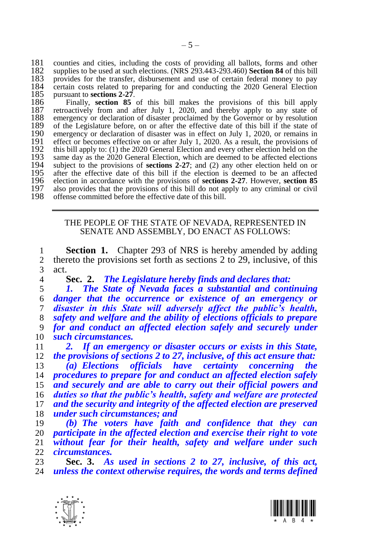181 counties and cities, including the costs of providing all ballots, forms and other 182 supplies to be used at such elections. (NRS 293.443-293.460) **Section 84** of this bill supplies to be used at such elections. (NRS 293.443-293.460) **Sectio[n 84](#page-59-0)** of this bill 183 provides for the transfer, disbursement and use of certain federal money to pay<br>184 certain costs related to preparing for and conducting the 2020 General Election 184 certain costs related to preparing for and conducting the 2020 General Election 185 pursuant to sections 2-27. 185 pursuant to **sections** [2-](#page-4-0)[27](#page-19-0).<br>186 Finally, **section** 85

 Finally, **section [85](#page-60-0)** of this bill makes the provisions of this bill apply 187 retroactively from and after July 1, 2020, and thereby apply to any state of 188 emergency or declaration of disaster proclaimed by the Governor or by resolution 188 emergency or declaration of disaster proclaimed by the Governor or by resolution 189 of the Legislature before, on or after the effective date of this bill if the state of 189 of the Legislature before, on or after the effective date of this bill if the state of 190 emergency or declaration of disaster was in effect on July 1, 2020, or remains in 190 emergency or declaration of disaster was in effect on July 1, 2020, or remains in 191 effect or becomes effective on or after July 1, 2020. As a result, the provisions of 191 effect or becomes effective on or after July 1, 2020. As a result, the provisions of 192 this bill apply to: (1) the 2020 General Election and every other election held on the 192 this bill apply to: (1) the 2020 General Election and every other election held on the 193 same day as the 2020 General Election, which are deemed to be affected elections 193 same day as the 2020 General Election, which are deemed to be affected elections subject to the provisions of **sections 2-27**; and (2) any other election held on or subject to the provisions of **sections [2](#page-4-0)[-27](#page-19-0)**; and (2) any other election held on or 195 after the effective date of this bill if the election is deemed to be an affected election in accordance with the provisions of **sections 2-27**. However, **section 85**  election in accordance with the provisions of **sections [2-](#page-4-0)[27](#page-19-0)**. However, **section [85](#page-60-0)** 197 also provides that the provisions of this bill do not apply to any criminal or civil 198 offense committed before the effective date of this bill. offense committed before the effective date of this bill.

> <span id="page-4-1"></span>THE PEOPLE OF THE STATE OF NEVADA, REPRESENTED IN SENATE AND ASSEMBLY, DO ENACT AS FOLLOWS:

1 **Section 1.** Chapter 293 of NRS is hereby amended by adding 2 thereto the provisions set forth as sections 2 to 29, inclusive, of this thereto the provisions set forth as sections [2](#page-4-0) to [29,](#page-20-0) inclusive, of this act.<br>4

<span id="page-4-0"></span>**Sec. 2.** *The Legislature hereby finds and declares that:*

 *1. The State of Nevada faces a substantial and continuing danger that the occurrence or existence of an emergency or disaster in this State will adversely affect the public's health, safety and welfare and the ability of elections officials to prepare for and conduct an affected election safely and securely under such circumstances.*

 *2. If an emergency or disaster occurs or exists in this State, the provisions of sections [2](#page-4-0) to [27,](#page-19-0) inclusive, of this act ensure that:*

 *(a) Elections officials have certainty concerning the procedures to prepare for and conduct an affected election safely and securely and are able to carry out their official powers and duties so that the public's health, safety and welfare are protected and the security and integrity of the affected election are preserved under such circumstances; and*

 *(b) The voters have faith and confidence that they can participate in the affected election and exercise their right to vote without fear for their health, safety and welfare under such circumstances.*

 **Sec. 3.** *As used in sections [2](#page-4-0) to [27,](#page-19-0) inclusive, of this act, unless the context otherwise requires, the words and terms defined* 



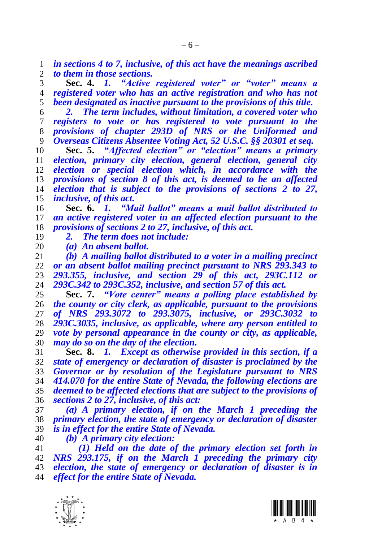*in sections [4](#page-5-1) to [7,](#page-5-2) inclusive, of this act have the meanings ascribed to them in those sections.*

<span id="page-5-1"></span> **Sec. 4.** *1. "Active registered voter" or "voter" means a registered voter who has an active registration and who has not been designated as inactive pursuant to the provisions of this title.*

 *2. The term includes, without limitation, a covered voter who registers to vote or has registered to vote pursuant to the provisions of chapter 293D of NRS or the Uniformed and Overseas Citizens Absentee Voting Act, 52 U.S.C. §§ 20301 et seq.*

 **Sec. 5.** *"Affected election" or "election" means a primary election, primary city election, general election, general city election or special election which, in accordance with the provisions of section [8](#page-5-0) of this act, is deemed to be an affected election that is subject to the provisions of sections [2](#page-4-0) to [27,](#page-19-0) inclusive, of this act.*

<span id="page-5-3"></span> **Sec. 6.** *1. "Mail ballot" means a mail ballot distributed to an active registered voter in an affected election pursuant to the provisions of sections [2](#page-4-0) t[o 27,](#page-19-0) inclusive, of this act.*

*2. The term does not include:*

 *(a) An absent ballot. (b) A mailing ballot distributed to a voter in a mailing precinct or an absent ballot mailing precinct pursuant to NRS 293.343 to 293.355, inclusive, and section [29](#page-20-0) of this act, 293C.112 or 293C.342 to 293C.352, inclusive, and section [57](#page-40-1) of this act.*

<span id="page-5-2"></span> **Sec. 7.** *"Vote center" means a polling place established by the county or city clerk, as applicable, pursuant to the provisions of NRS 293.3072 to 293.3075, inclusive, or 293C.3032 to 293C.3035, inclusive, as applicable, where any person entitled to vote by personal appearance in the county or city, as applicable, may do so on the day of the election.*

<span id="page-5-0"></span> **Sec. 8.** *1. Except as otherwise provided in this section, if a state of emergency or declaration of disaster is proclaimed by the Governor or by resolution of the Legislature pursuant to NRS 414.070 for the entire State of Nevada, the following elections are deemed to be affected elections that are subject to the provisions of sections [2](#page-4-0) to [27,](#page-19-0) inclusive, of this act:*

 *(a) A primary election, if on the March 1 preceding the primary election, the state of emergency or declaration of disaster is in effect for the entire State of Nevada.*

*(b) A primary city election:*

 *(1) Held on the date of the primary election set forth in NRS 293.175, if on the March 1 preceding the primary city election, the state of emergency or declaration of disaster is in effect for the entire State of Nevada.*



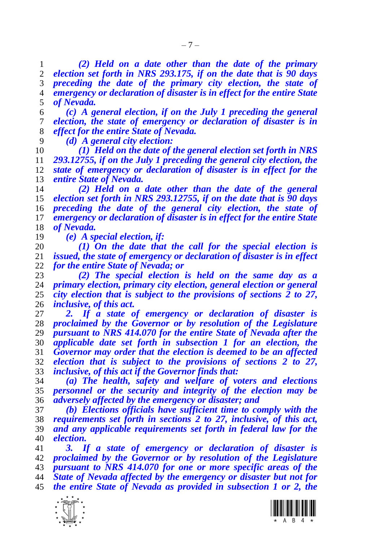*(2) Held on a date other than the date of the primary election set forth in NRS 293.175, if on the date that is 90 days preceding the date of the primary city election, the state of emergency or declaration of disaster is in effect for the entire State of Nevada.*

 *(c) A general election, if on the July 1 preceding the general election, the state of emergency or declaration of disaster is in effect for the entire State of Nevada.*

*(d) A general city election:*

 *(1) Held on the date of the general election set forth in NRS 293.12755, if on the July 1 preceding the general city election, the state of emergency or declaration of disaster is in effect for the entire State of Nevada.*

 *(2) Held on a date other than the date of the general election set forth in NRS 293.12755, if on the date that is 90 days preceding the date of the general city election, the state of emergency or declaration of disaster is in effect for the entire State of Nevada.*

*(e) A special election, if:*

 *(1) On the date that the call for the special election is issued, the state of emergency or declaration of disaster is in effect for the entire State of Nevada; or*

 *(2) The special election is held on the same day as a primary election, primary city election, general election or general city election that is subject to the provisions of sections [2](#page-4-0) to [27,](#page-19-0) inclusive, of this act.*

 *2. If a state of emergency or declaration of disaster is proclaimed by the Governor or by resolution of the Legislature pursuant to NRS 414.070 for the entire State of Nevada after the applicable date set forth in subsection 1 for an election, the Governor may order that the election is deemed to be an affected election that is subject to the provisions of sections [2](#page-4-0) to [27,](#page-19-0) inclusive, of this act if the Governor finds that:*

 *(a) The health, safety and welfare of voters and elections personnel or the security and integrity of the election may be adversely affected by the emergency or disaster; and*

 *(b) Elections officials have sufficient time to comply with the requirements set forth in sections [2](#page-4-0) to [27,](#page-19-0) inclusive, of this act, and any applicable requirements set forth in federal law for the election.*

 *3. If a state of emergency or declaration of disaster is proclaimed by the Governor or by resolution of the Legislature pursuant to NRS 414.070 for one or more specific areas of the State of Nevada affected by the emergency or disaster but not for the entire State of Nevada as provided in subsection 1 or 2, the* 



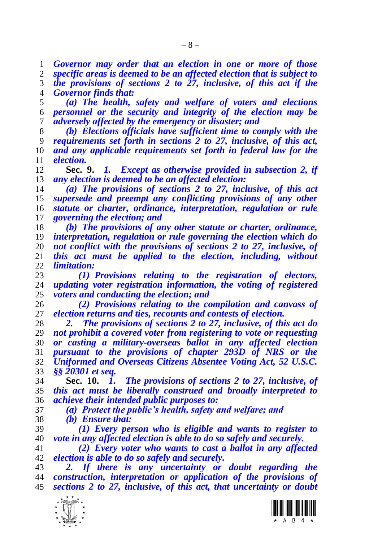*Governor may order that an election in one or more of those* 

 *specific areas is deemed to be an affected election that is subject to the provisions of sections [2](#page-4-0) to [27,](#page-19-0) inclusive, of this act if the Governor finds that:*

 *(a) The health, safety and welfare of voters and elections personnel or the security and integrity of the election may be adversely affected by the emergency or disaster; and*

 *(b) Elections officials have sufficient time to comply with the requirements set forth in sections [2](#page-4-0) to [27,](#page-19-0) inclusive, of this act, and any applicable requirements set forth in federal law for the election.*

<span id="page-7-0"></span> **Sec. 9.** *1. Except as otherwise provided in subsection 2, if any election is deemed to be an affected election:*

 *(a) The provisions of sections [2](#page-4-0) to [27,](#page-19-0) inclusive, of this act supersede and preempt any conflicting provisions of any other statute or charter, ordinance, interpretation, regulation or rule governing the election; and*

 *(b) The provisions of any other statute or charter, ordinance, interpretation, regulation or rule governing the election which do not conflict with the provisions of sections [2](#page-4-0) to [27,](#page-19-0) inclusive, of this act must be applied to the election, including, without limitation:*

 *(1) Provisions relating to the registration of electors, updating voter registration information, the voting of registered voters and conducting the election; and*

 *(2) Provisions relating to the compilation and canvass of election returns and ties, recounts and contests of election.*

 *2. The provisions of sections [2](#page-4-0) to [27,](#page-19-0) inclusive, of this act do not prohibit a covered voter from registering to vote or requesting or casting a military-overseas ballot in any affected election pursuant to the provisions of chapter 293D of NRS or the Uniformed and Overseas Citizens Absentee Voting Act, 52 U.S.C. §§ 20301 et seq.*

<span id="page-7-1"></span> **Sec. 10.** *1. The provisions of sections [2](#page-4-0) to [27,](#page-19-0) inclusive, of this act must be liberally construed and broadly interpreted to achieve their intended public purposes to:*

*(a) Protect the public's health, safety and welfare; and*

*(b) Ensure that:*

 *(1) Every person who is eligible and wants to register to vote in any affected election is able to do so safely and securely.*

 *(2) Every voter who wants to cast a ballot in any affected election is able to do so safely and securely.*

 *2. If there is any uncertainty or doubt regarding the construction, interpretation or application of the provisions of sections [2](#page-4-0) to [27,](#page-19-0) inclusive, of this act, that uncertainty or doubt* 

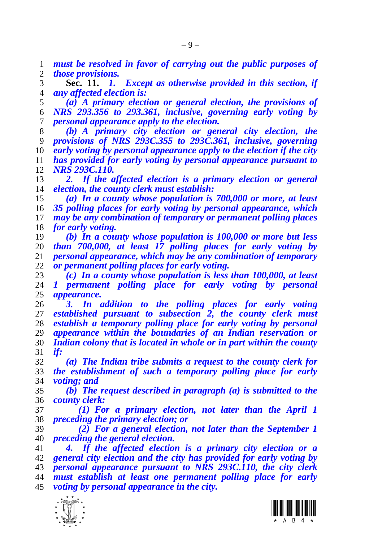*must be resolved in favor of carrying out the public purposes of those provisions.*

<span id="page-8-0"></span> **Sec. 11.** *1. Except as otherwise provided in this section, if any affected election is:*

 *(a) A primary election or general election, the provisions of NRS 293.356 to 293.361, inclusive, governing early voting by personal appearance apply to the election.*

 *(b) A primary city election or general city election, the provisions of NRS 293C.355 to 293C.361, inclusive, governing early voting by personal appearance apply to the election if the city has provided for early voting by personal appearance pursuant to NRS 293C.110.*

 *2. If the affected election is a primary election or general election, the county clerk must establish:*

 *(a) In a county whose population is 700,000 or more, at least 35 polling places for early voting by personal appearance, which may be any combination of temporary or permanent polling places for early voting.*

 *(b) In a county whose population is 100,000 or more but less than 700,000, at least 17 polling places for early voting by personal appearance, which may be any combination of temporary or permanent polling places for early voting.*

 *(c) In a county whose population is less than 100,000, at least 1 permanent polling place for early voting by personal appearance.*

 *3. In addition to the polling places for early voting established pursuant to subsection 2, the county clerk must establish a temporary polling place for early voting by personal appearance within the boundaries of an Indian reservation or Indian colony that is located in whole or in part within the county if:*

 *(a) The Indian tribe submits a request to the county clerk for the establishment of such a temporary polling place for early voting; and*

 *(b) The request described in paragraph (a) is submitted to the county clerk:*

 *(1) For a primary election, not later than the April 1 preceding the primary election; or*

 *(2) For a general election, not later than the September 1 preceding the general election.*

 *4. If the affected election is a primary city election or a general city election and the city has provided for early voting by personal appearance pursuant to NRS 293C.110, the city clerk must establish at least one permanent polling place for early voting by personal appearance in the city.*



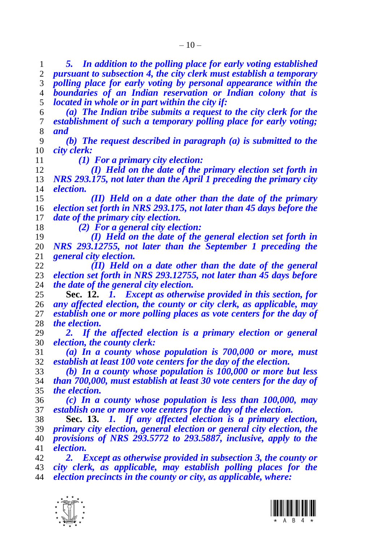*5. In addition to the polling place for early voting established pursuant to subsection 4, the city clerk must establish a temporary polling place for early voting by personal appearance within the boundaries of an Indian reservation or Indian colony that is located in whole or in part within the city if:*

 *(a) The Indian tribe submits a request to the city clerk for the establishment of such a temporary polling place for early voting; and*

 *(b) The request described in paragraph (a) is submitted to the city clerk:*

 *(1) For a primary city election: (I) Held on the date of the primary election set forth in NRS 293.175, not later than the April 1 preceding the primary city election.*

 *(II) Held on a date other than the date of the primary election set forth in NRS 293.175, not later than 45 days before the date of the primary city election.*

*(2) For a general city election:*

 *(I) Held on the date of the general election set forth in NRS 293.12755, not later than the September 1 preceding the general city election.*

 *(II) Held on a date other than the date of the general election set forth in NRS 293.12755, not later than 45 days before the date of the general city election.*

<span id="page-9-0"></span> **Sec. 12.** *1. Except as otherwise provided in this section, for any affected election, the county or city clerk, as applicable, may establish one or more polling places as vote centers for the day of the election.*

 *2. If the affected election is a primary election or general election, the county clerk:*

 *(a) In a county whose population is 700,000 or more, must establish at least 100 vote centers for the day of the election.*

 *(b) In a county whose population is 100,000 or more but less than 700,000, must establish at least 30 vote centers for the day of the election.*

 *(c) In a county whose population is less than 100,000, may establish one or more vote centers for the day of the election.*

 **Sec. 13.** *1. If any affected election is a primary election, primary city election, general election or general city election, the provisions of NRS 293.5772 to 293.5887, inclusive, apply to the election.*

 *2. Except as otherwise provided in subsection 3, the county or city clerk, as applicable, may establish polling places for the election precincts in the county or city, as applicable, where:*



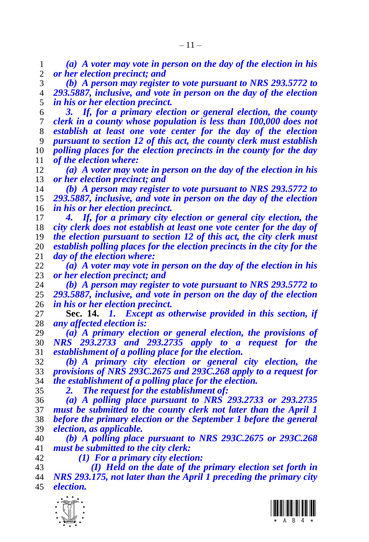*(a) A voter may vote in person on the day of the election in his or her election precinct; and*

 *(b) A person may register to vote pursuant to NRS 293.5772 to 293.5887, inclusive, and vote in person on the day of the election in his or her election precinct.*

 *3. If, for a primary election or general election, the county clerk in a county whose population is less than 100,000 does not establish at least one vote center for the day of the election pursuant to section [12](#page-9-0) of this act, the county clerk must establish polling places for the election precincts in the county for the day of the election where:*

 *(a) A voter may vote in person on the day of the election in his or her election precinct; and*

 *(b) A person may register to vote pursuant to NRS 293.5772 to 293.5887, inclusive, and vote in person on the day of the election in his or her election precinct.*

 *4. If, for a primary city election or general city election, the city clerk does not establish at least one vote center for the day of the election pursuant to section [12](#page-9-0) of this act, the city clerk must establish polling places for the election precincts in the city for the*  day of the election where:

 *(a) A voter may vote in person on the day of the election in his or her election precinct; and*

 *(b) A person may register to vote pursuant to NRS 293.5772 to 293.5887, inclusive, and vote in person on the day of the election in his or her election precinct.*

<span id="page-10-0"></span> **Sec. 14.** *1. Except as otherwise provided in this section, if any affected election is:*

 *(a) A primary election or general election, the provisions of NRS 293.2733 and 293.2735 apply to a request for the establishment of a polling place for the election.*

 *(b) A primary city election or general city election, the provisions of NRS 293C.2675 and 293C.268 apply to a request for the establishment of a polling place for the election.*

*2. The request for the establishment of:*

 *(a) A polling place pursuant to NRS 293.2733 or 293.2735 must be submitted to the county clerk not later than the April 1 before the primary election or the September 1 before the general election, as applicable.*

 *(b) A polling place pursuant to NRS 293C.2675 or 293C.268 must be submitted to the city clerk:*

*(1) For a primary city election:*

 *(I) Held on the date of the primary election set forth in NRS 293.175, not later than the April 1 preceding the primary city election.*



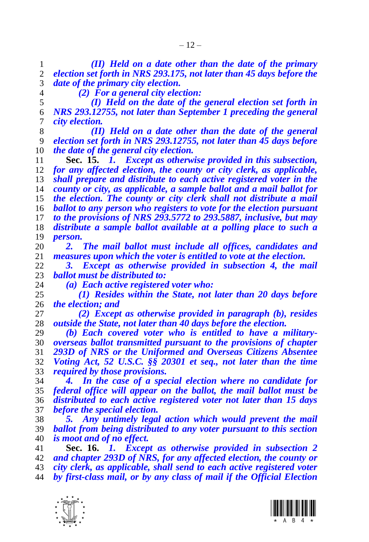*(II) Held on a date other than the date of the primary election set forth in NRS 293.175, not later than 45 days before the date of the primary city election.*

*(2) For a general city election:*

 *(I) Held on the date of the general election set forth in NRS 293.12755, not later than September 1 preceding the general city election.*

 *(II) Held on a date other than the date of the general election set forth in NRS 293.12755, not later than 45 days before the date of the general city election.*

<span id="page-11-0"></span> **Sec. 15.** *1. Except as otherwise provided in this subsection, for any affected election, the county or city clerk, as applicable, shall prepare and distribute to each active registered voter in the county or city, as applicable, a sample ballot and a mail ballot for the election. The county or city clerk shall not distribute a mail ballot to any person who registers to vote for the election pursuant to the provisions of NRS 293.5772 to 293.5887, inclusive, but may distribute a sample ballot available at a polling place to such a person.*

 *2. The mail ballot must include all offices, candidates and measures upon which the voter is entitled to vote at the election.*

 *3. Except as otherwise provided in subsection 4, the mail ballot must be distributed to:*

*(a) Each active registered voter who:*

 *(1) Resides within the State, not later than 20 days before the election; and*

 *(2) Except as otherwise provided in paragraph (b), resides outside the State, not later than 40 days before the election.*

 *(b) Each covered voter who is entitled to have a military- overseas ballot transmitted pursuant to the provisions of chapter 293D of NRS or the Uniformed and Overseas Citizens Absentee Voting Act, 52 U.S.C. §§ 20301 et seq., not later than the time required by those provisions.*

 *4. In the case of a special election where no candidate for federal office will appear on the ballot, the mail ballot must be distributed to each active registered voter not later than 15 days before the special election.*

 *5. Any untimely legal action which would prevent the mail ballot from being distributed to any voter pursuant to this section is moot and of no effect.*

<span id="page-11-1"></span> **Sec. 16.** *1. Except as otherwise provided in subsection 2 and chapter 293D of NRS, for any affected election, the county or city clerk, as applicable, shall send to each active registered voter* 

*by first-class mail, or by any class of mail if the Official Election* 



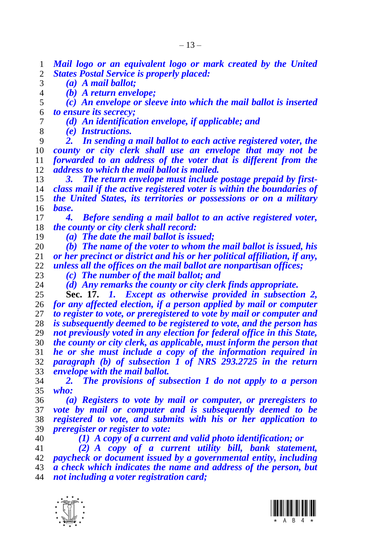*Mail logo or an equivalent logo or mark created by the United States Postal Service is properly placed:*

*(a) A mail ballot;*

*(b) A return envelope;*

- *(c) An envelope or sleeve into which the mail ballot is inserted to ensure its secrecy;*
- *(d) An identification envelope, if applicable; and*
- *(e) Instructions.*

 *2. In sending a mail ballot to each active registered voter, the county or city clerk shall use an envelope that may not be forwarded to an address of the voter that is different from the address to which the mail ballot is mailed.*

 *3. The return envelope must include postage prepaid by first- class mail if the active registered voter is within the boundaries of the United States, its territories or possessions or on a military base.*

 *4. Before sending a mail ballot to an active registered voter, the county or city clerk shall record:*

*(a) The date the mail ballot is issued;*

 *(b) The name of the voter to whom the mail ballot is issued, his or her precinct or district and his or her political affiliation, if any, unless all the offices on the mail ballot are nonpartisan offices;*

*(c) The number of the mail ballot; and*

<span id="page-12-0"></span> *(d) Any remarks the county or city clerk finds appropriate.* **Sec. 17.** *1. Except as otherwise provided in subsection 2, for any affected election, if a person applied by mail or computer to register to vote, or preregistered to vote by mail or computer and is subsequently deemed to be registered to vote, and the person has not previously voted in any election for federal office in this State, the county or city clerk, as applicable, must inform the person that he or she must include a copy of the information required in* 

 *paragraph (b) of subsection 1 of NRS 293.2725 in the return envelope with the mail ballot.*

 *2. The provisions of subsection 1 do not apply to a person who:*

 *(a) Registers to vote by mail or computer, or preregisters to vote by mail or computer and is subsequently deemed to be registered to vote, and submits with his or her application to preregister or register to vote:*

*(1) A copy of a current and valid photo identification; or*

 *(2) A copy of a current utility bill, bank statement, paycheck or document issued by a governmental entity, including a check which indicates the name and address of the person, but not including a voter registration card;*



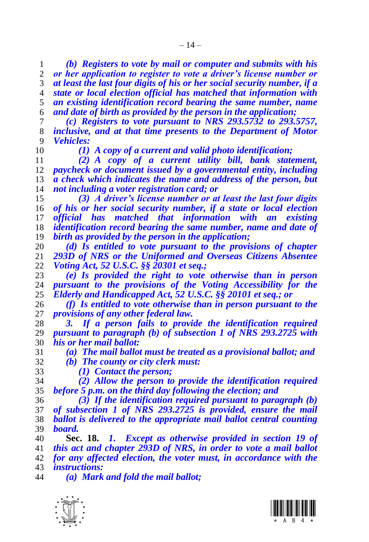*(b) Registers to vote by mail or computer and submits with his or her application to register to vote a driver's license number or* 

 *at least the last four digits of his or her social security number, if a state or local election official has matched that information with an existing identification record bearing the same number, name and date of birth as provided by the person in the application;*

 *(c) Registers to vote pursuant to NRS 293.5732 to 293.5757, inclusive, and at that time presents to the Department of Motor Vehicles:*

*(1) A copy of a current and valid photo identification;*

 *(2) A copy of a current utility bill, bank statement, paycheck or document issued by a governmental entity, including a check which indicates the name and address of the person, but not including a voter registration card; or*

 *(3) A driver's license number or at least the last four digits of his or her social security number, if a state or local election official has matched that information with an existing identification record bearing the same number, name and date of birth as provided by the person in the application;*

 *(d) Is entitled to vote pursuant to the provisions of chapter 293D of NRS or the Uniformed and Overseas Citizens Absentee Voting Act, 52 U.S.C. §§ 20301 et seq.;*

 *(e) Is provided the right to vote otherwise than in person pursuant to the provisions of the Voting Accessibility for the Elderly and Handicapped Act, 52 U.S.C. §§ 20101 et seq.; or*

 *(f) Is entitled to vote otherwise than in person pursuant to the provisions of any other federal law.*

 *3. If a person fails to provide the identification required pursuant to paragraph (b) of subsection 1 of NRS 293.2725 with his or her mail ballot:*

 *(a) The mail ballot must be treated as a provisional ballot; and (b) The county or city clerk must:*

*(1) Contact the person;*

 *(2) Allow the person to provide the identification required before 5 p.m. on the third day following the election; and*

 *(3) If the identification required pursuant to paragraph (b) of subsection 1 of NRS 293.2725 is provided, ensure the mail ballot is delivered to the appropriate mail ballot central counting board.*

 **Sec. 18.** *1. Except as otherwise provided in section [19](#page-14-0) of this act and chapter 293D of NRS, in order to vote a mail ballot for any affected election, the voter must, in accordance with the instructions:*

*(a) Mark and fold the mail ballot;*



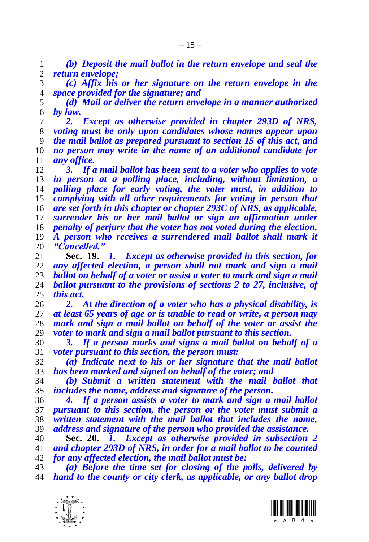*(b) Deposit the mail ballot in the return envelope and seal the return envelope;*

 *(c) Affix his or her signature on the return envelope in the space provided for the signature; and*

 *(d) Mail or deliver the return envelope in a manner authorized by law.*

 *2. Except as otherwise provided in chapter 293D of NRS, voting must be only upon candidates whose names appear upon the mail ballot as prepared pursuant to section [15](#page-11-0) of this act, and no person may write in the name of an additional candidate for any office.*

 *3. If a mail ballot has been sent to a voter who applies to vote in person at a polling place, including, without limitation, a polling place for early voting, the voter must, in addition to complying with all other requirements for voting in person that are set forth in this chapter or chapter 293C of NRS, as applicable, surrender his or her mail ballot or sign an affirmation under penalty of perjury that the voter has not voted during the election. A person who receives a surrendered mail ballot shall mark it "Cancelled."*

<span id="page-14-0"></span> **Sec. 19.** *1. Except as otherwise provided in this section, for any affected election, a person shall not mark and sign a mail ballot on behalf of a voter or assist a voter to mark and sign a mail ballot pursuant to the provisions of sections [2](#page-4-0) to [27,](#page-19-0) inclusive, of this act.*

 *2. At the direction of a voter who has a physical disability, is at least 65 years of age or is unable to read or write, a person may mark and sign a mail ballot on behalf of the voter or assist the voter to mark and sign a mail ballot pursuant to this section.* 

 *3. If a person marks and signs a mail ballot on behalf of a voter pursuant to this section, the person must:*

 *(a) Indicate next to his or her signature that the mail ballot has been marked and signed on behalf of the voter; and*

 *(b) Submit a written statement with the mail ballot that includes the name, address and signature of the person.*

 *4. If a person assists a voter to mark and sign a mail ballot pursuant to this section, the person or the voter must submit a written statement with the mail ballot that includes the name, address and signature of the person who provided the assistance.*

<span id="page-14-1"></span> **Sec. 20.** *1. Except as otherwise provided in subsection 2 and chapter 293D of NRS, in order for a mail ballot to be counted for any affected election, the mail ballot must be:*

 *(a) Before the time set for closing of the polls, delivered by hand to the county or city clerk, as applicable, or any ballot drop* 



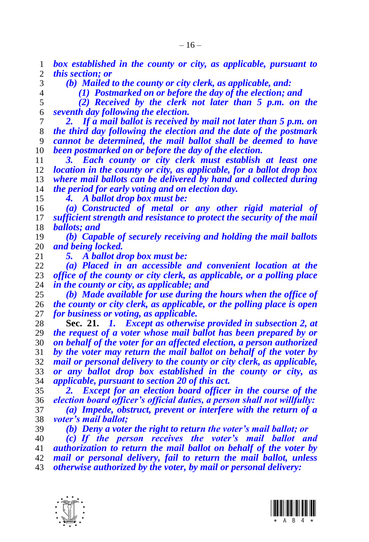*box established in the county or city, as applicable, pursuant to this section; or*

 *(b) Mailed to the county or city clerk, as applicable, and: (1) Postmarked on or before the day of the election; and*

 *(2) Received by the clerk not later than 5 p.m. on the seventh day following the election.*

 *2. If a mail ballot is received by mail not later than 5 p.m. on the third day following the election and the date of the postmark cannot be determined, the mail ballot shall be deemed to have been postmarked on or before the day of the election.*

 *3. Each county or city clerk must establish at least one*  location in the county or city, as applicable, for a ballot drop box *where mail ballots can be delivered by hand and collected during the period for early voting and on election day.*

*4. A ballot drop box must be:*

 *(a) Constructed of metal or any other rigid material of sufficient strength and resistance to protect the security of the mail ballots; and*

 *(b) Capable of securely receiving and holding the mail ballots and being locked.*

*5. A ballot drop box must be:*

 *(a) Placed in an accessible and convenient location at the office of the county or city clerk, as applicable, or a polling place in the county or city, as applicable; and* 

 *(b) Made available for use during the hours when the office of the county or city clerk, as applicable, or the polling place is open for business or voting, as applicable.*

<span id="page-15-0"></span> **Sec. 21.** *1. Except as otherwise provided in subsection 2, at the request of a voter whose mail ballot has been prepared by or on behalf of the voter for an affected election, a person authorized by the voter may return the mail ballot on behalf of the voter by mail or personal delivery to the county or city clerk, as applicable, or any ballot drop box established in the county or city, as applicable, pursuant to sectio[n 20](#page-14-1) of this act.*

 *2. Except for an election board officer in the course of the election board officer's official duties, a person shall not willfully:*

 *(a) Impede, obstruct, prevent or interfere with the return of a voter's mail ballot;*

*(b) Deny a voter the right to return the voter's mail ballot; or*

 *(c) If the person receives the voter's mail ballot and authorization to return the mail ballot on behalf of the voter by mail or personal delivery, fail to return the mail ballot, unless otherwise authorized by the voter, by mail or personal delivery:*



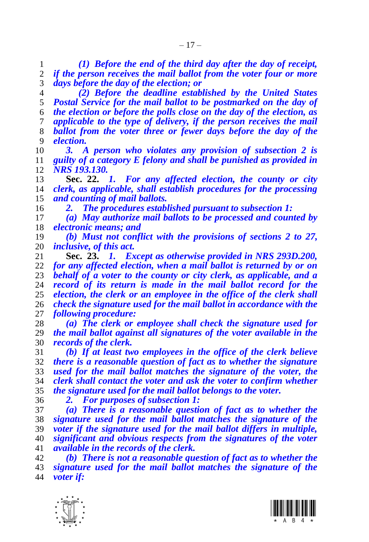*(1) Before the end of the third day after the day of receipt, if the person receives the mail ballot from the voter four or more days before the day of the election; or*

 *(2) Before the deadline established by the United States Postal Service for the mail ballot to be postmarked on the day of the election or before the polls close on the day of the election, as applicable to the type of delivery, if the person receives the mail ballot from the voter three or fewer days before the day of the election.*

 *3. A person who violates any provision of subsection 2 is guilty of a category E felony and shall be punished as provided in NRS 193.130.*

<span id="page-16-1"></span> **Sec. 22.** *1. For any affected election, the county or city clerk, as applicable, shall establish procedures for the processing and counting of mail ballots.*

*2. The procedures established pursuant to subsection 1:*

 *(a) May authorize mail ballots to be processed and counted by electronic means; and*

 *(b) Must not conflict with the provisions of sections [2](#page-4-0) to [27,](#page-19-0) inclusive, of this act.*

<span id="page-16-0"></span> **Sec. 23.** *1. Except as otherwise provided in NRS 293D.200, for any affected election, when a mail ballot is returned by or on behalf of a voter to the county or city clerk, as applicable, and a*  record of its return is made in the mail ballot record for the *election, the clerk or an employee in the office of the clerk shall check the signature used for the mail ballot in accordance with the following procedure:*

 *(a) The clerk or employee shall check the signature used for the mail ballot against all signatures of the voter available in the records of the clerk.*

 *(b) If at least two employees in the office of the clerk believe there is a reasonable question of fact as to whether the signature used for the mail ballot matches the signature of the voter, the clerk shall contact the voter and ask the voter to confirm whether the signature used for the mail ballot belongs to the voter.*

*2. For purposes of subsection 1:*

 *(a) There is a reasonable question of fact as to whether the signature used for the mail ballot matches the signature of the voter if the signature used for the mail ballot differs in multiple, significant and obvious respects from the signatures of the voter available in the records of the clerk.*

 *(b) There is not a reasonable question of fact as to whether the signature used for the mail ballot matches the signature of the voter if:*



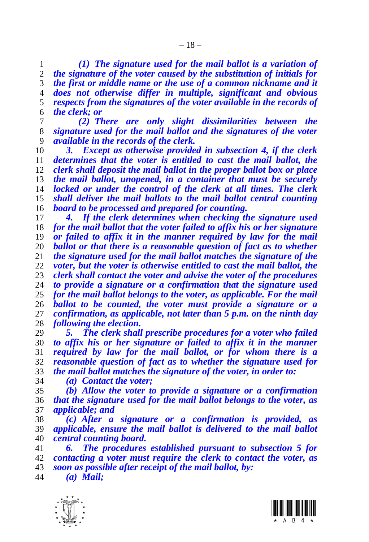*(1) The signature used for the mail ballot is a variation of the signature of the voter caused by the substitution of initials for the first or middle name or the use of a common nickname and it does not otherwise differ in multiple, significant and obvious respects from the signatures of the voter available in the records of the clerk; or*

 *(2) There are only slight dissimilarities between the signature used for the mail ballot and the signatures of the voter available in the records of the clerk.*

 *3. Except as otherwise provided in subsection 4, if the clerk determines that the voter is entitled to cast the mail ballot, the clerk shall deposit the mail ballot in the proper ballot box or place the mail ballot, unopened, in a container that must be securely locked or under the control of the clerk at all times. The clerk shall deliver the mail ballots to the mail ballot central counting board to be processed and prepared for counting.*

 *4. If the clerk determines when checking the signature used for the mail ballot that the voter failed to affix his or her signature or failed to affix it in the manner required by law for the mail ballot or that there is a reasonable question of fact as to whether the signature used for the mail ballot matches the signature of the voter, but the voter is otherwise entitled to cast the mail ballot, the clerk shall contact the voter and advise the voter of the procedures to provide a signature or a confirmation that the signature used for the mail ballot belongs to the voter, as applicable. For the mail ballot to be counted, the voter must provide a signature or a confirmation, as applicable, not later than 5 p.m. on the ninth day following the election.*

 *5. The clerk shall prescribe procedures for a voter who failed to affix his or her signature or failed to affix it in the manner required by law for the mail ballot, or for whom there is a reasonable question of fact as to whether the signature used for the mail ballot matches the signature of the voter, in order to:*

*(a) Contact the voter;*

 *(b) Allow the voter to provide a signature or a confirmation that the signature used for the mail ballot belongs to the voter, as applicable; and*

 *(c) After a signature or a confirmation is provided, as applicable, ensure the mail ballot is delivered to the mail ballot central counting board.*

 *6. The procedures established pursuant to subsection 5 for contacting a voter must require the clerk to contact the voter, as soon as possible after receipt of the mail ballot, by:*

*(a) Mail;*

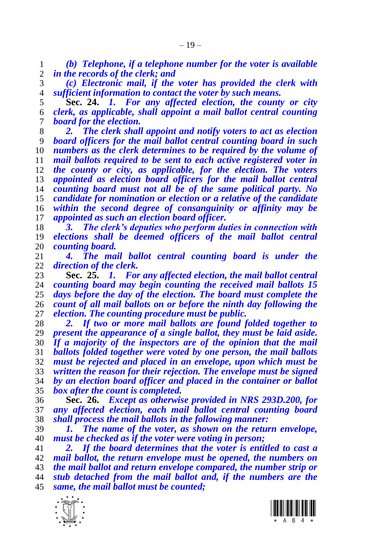*(b) Telephone, if a telephone number for the voter is available in the records of the clerk; and*

 *(c) Electronic mail, if the voter has provided the clerk with sufficient information to contact the voter by such means.*

 **Sec. 24.** *1. For any affected election, the county or city clerk, as applicable, shall appoint a mail ballot central counting board for the election.*

 *2. The clerk shall appoint and notify voters to act as election board officers for the mail ballot central counting board in such numbers as the clerk determines to be required by the volume of mail ballots required to be sent to each active registered voter in the county or city, as applicable, for the election. The voters appointed as election board officers for the mail ballot central counting board must not all be of the same political party. No candidate for nomination or election or a relative of the candidate within the second degree of consanguinity or affinity may be appointed as such an election board officer.*

 *3. The clerk's deputies who perform duties in connection with elections shall be deemed officers of the mail ballot central counting board.*

 *4. The mail ballot central counting board is under the direction of the clerk.*

 **Sec. 25.** *1. For any affected election, the mail ballot central counting board may begin counting the received mail ballots 15 days before the day of the election. The board must complete the count of all mail ballots on or before the ninth day following the election. The counting procedure must be public.*

 *2. If two or more mail ballots are found folded together to present the appearance of a single ballot, they must be laid aside. If a majority of the inspectors are of the opinion that the mail ballots folded together were voted by one person, the mail ballots must be rejected and placed in an envelope, upon which must be written the reason for their rejection. The envelope must be signed by an election board officer and placed in the container or ballot box after the count is completed.*

 **Sec. 26.** *Except as otherwise provided in NRS 293D.200, for any affected election, each mail ballot central counting board shall process the mail ballots in the following manner:*

 *1. The name of the voter, as shown on the return envelope, must be checked as if the voter were voting in person;*

 *2. If the board determines that the voter is entitled to cast a mail ballot, the return envelope must be opened, the numbers on the mail ballot and return envelope compared, the number strip or stub detached from the mail ballot and, if the numbers are the same, the mail ballot must be counted;*



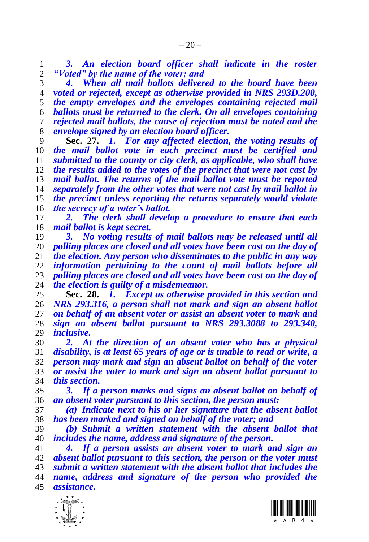*3. An election board officer shall indicate in the roster "Voted" by the name of the voter; and*

 *4. When all mail ballots delivered to the board have been voted or rejected, except as otherwise provided in NRS 293D.200, the empty envelopes and the envelopes containing rejected mail ballots must be returned to the clerk. On all envelopes containing rejected mail ballots, the cause of rejection must be noted and the envelope signed by an election board officer.*

<span id="page-19-0"></span> **Sec. 27.** *1. For any affected election, the voting results of the mail ballot vote in each precinct must be certified and submitted to the county or city clerk, as applicable, who shall have the results added to the votes of the precinct that were not cast by mail ballot. The returns of the mail ballot vote must be reported separately from the other votes that were not cast by mail ballot in the precinct unless reporting the returns separately would violate the secrecy of a voter's ballot.*

 *2. The clerk shall develop a procedure to ensure that each mail ballot is kept secret.*

 *3. No voting results of mail ballots may be released until all polling places are closed and all votes have been cast on the day of the election. Any person who disseminates to the public in any way information pertaining to the count of mail ballots before all polling places are closed and all votes have been cast on the day of the election is guilty of a misdemeanor.*

<span id="page-19-1"></span> **Sec. 28.** *1. Except as otherwise provided in this section and NRS 293.316, a person shall not mark and sign an absent ballot on behalf of an absent voter or assist an absent voter to mark and sign an absent ballot pursuant to NRS 293.3088 to 293.340, inclusive.*

 *2. At the direction of an absent voter who has a physical disability, is at least 65 years of age or is unable to read or write, a person may mark and sign an absent ballot on behalf of the voter or assist the voter to mark and sign an absent ballot pursuant to this section.*

 *3. If a person marks and signs an absent ballot on behalf of an absent voter pursuant to this section, the person must:*

 *(a) Indicate next to his or her signature that the absent ballot has been marked and signed on behalf of the voter; and*

 *(b) Submit a written statement with the absent ballot that includes the name, address and signature of the person.*

 *4. If a person assists an absent voter to mark and sign an absent ballot pursuant to this section, the person or the voter must submit a written statement with the absent ballot that includes the name, address and signature of the person who provided the assistance.*



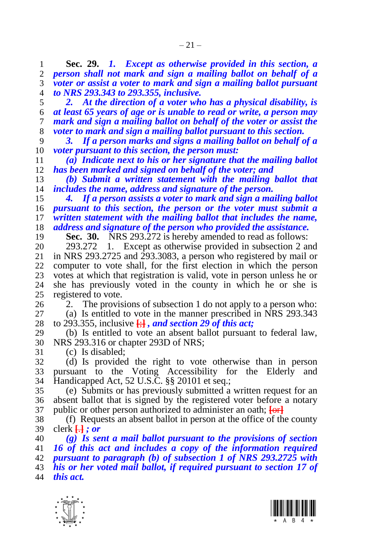<span id="page-20-0"></span> **Sec. 29.** *1. Except as otherwise provided in this section, a person shall not mark and sign a mailing ballot on behalf of a voter or assist a voter to mark and sign a mailing ballot pursuant to NRS 293.343 to 293.355, inclusive.*

 *2. At the direction of a voter who has a physical disability, is at least 65 years of age or is unable to read or write, a person may mark and sign a mailing ballot on behalf of the voter or assist the voter to mark and sign a mailing ballot pursuant to this section.*

 *3. If a person marks and signs a mailing ballot on behalf of a voter pursuant to this section, the person must:*

 *(a) Indicate next to his or her signature that the mailing ballot*  has been marked and signed on behalf of the voter; and

 *(b) Submit a written statement with the mailing ballot that includes the name, address and signature of the person.*

 *4. If a person assists a voter to mark and sign a mailing ballot pursuant to this section, the person or the voter must submit a written statement with the mailing ballot that includes the name, address and signature of the person who provided the assistance.*

**Sec. 30.** NRS 293.272 is hereby amended to read as follows:

20 293.272 1. Except as otherwise provided in subsection 2 and 21 in NRS 293.2725 and 293.3083, a person who registered by mail or in NRS 293.2725 and 293.3083, a person who registered by mail or computer to vote shall, for the first election in which the person 23 votes at which that registration is valid, vote in person unless he or 24 she has previously voted in the county in which he or she is she has previously voted in the county in which he or she is registered to vote.

 2. The provisions of subsection 1 do not apply to a person who: (a) Is entitled to vote in the manner prescribed in NRS 293.343 to 293.355, inclusive **[**;**]** *, and section [29](#page-20-0) of this act;*

 (b) Is entitled to vote an absent ballot pursuant to federal law, NRS 293.316 or chapter 293D of NRS;

(c) Is disabled;

 (d) Is provided the right to vote otherwise than in person pursuant to the Voting Accessibility for the Elderly and Handicapped Act, 52 U.S.C. §§ 20101 et seq.;

 (e) Submits or has previously submitted a written request for an absent ballot that is signed by the registered voter before a notary public or other person authorized to administer an oath; **[**or**]**

 (f) Requests an absent ballot in person at the office of the county clerk **[**.**]** *; or*

*(g) Is sent a mail ballot pursuant to the provisions of section* 

*[16](#page-11-1) of this act and includes a copy of the information required* 

 *pursuant to paragraph (b) of subsection 1 of NRS 293.2725 with his or her voted mail ballot, if required pursuant to section [17](#page-12-0) of* 

*this act.*



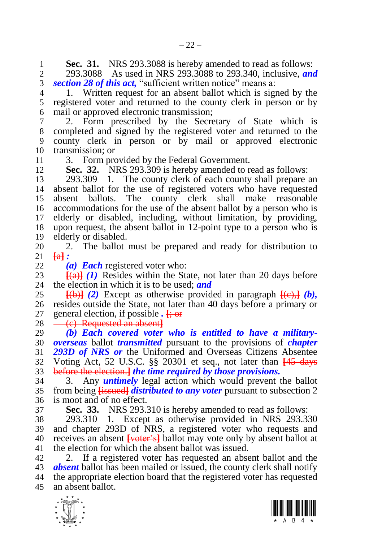**Sec. 31.** NRS 293.3088 is hereby amended to read as follows:<br>2 293.3088 As used in NRS 293.3088 to 293.340, inclusive, and

 293.3088 As used in NRS 293.3088 to 293.340, inclusive, *and sectio[n 28](#page-19-1) of this act,* "sufficient written notice" means a:

 1. Written request for an absent ballot which is signed by the registered voter and returned to the county clerk in person or by mail or approved electronic transmission;

 2. Form prescribed by the Secretary of State which is completed and signed by the registered voter and returned to the county clerk in person or by mail or approved electronic transmission; or

3. Form provided by the Federal Government.

<span id="page-21-0"></span>**Sec. 32.** NRS 293.309 is hereby amended to read as follows:

 293.309 1. The county clerk of each county shall prepare an absent ballot for the use of registered voters who have requested absent ballots. The county clerk shall make reasonable accommodations for the use of the absent ballot by a person who is elderly or disabled, including, without limitation, by providing, upon request, the absent ballot in 12-point type to a person who is elderly or disabled.

20 2. The ballot must be prepared and ready for distribution to  $21 \text{ }\text{ }\text{ }\text{ }\text{ }\text{ }\text{ }\text{ }\text{ }\text{ }\text{ }\text{ }$  $\overline{a}$   $\overline{a}$   $\overline{a}$ 

*(a) Each* registered voter who:

23  $\frac{[a]}{[a]}(1)$  Resides within the State, not later than 20 days before 24 the election in which it is to be used: and the election in which it is to be used; *and* 

 $\overline{25}$  [(b)] (2) Except as otherwise provided in paragraph  $\overline{[e]}$  (b), resides outside the State, not later than 40 days before a primary or general election, if possible *.* **[**; or

28 <del>(c) Requested an absent]</del>

 *(b) Each covered voter who is entitled to have a military- overseas* ballot *transmitted* pursuant to the provisions of *chapter 293D of NRS or* the Uniformed and Overseas Citizens Absentee Voting Act, 52 U.S.C. §§ 20301 et seq., not later than **[**45 days before the election.**]** *the time required by those provisions.*

 3. Any *untimely* legal action which would prevent the ballot from being **[**issued**]** *distributed to any voter* pursuant to subsection 2 is moot and of no effect.

**Sec. 33.** NRS 293.310 is hereby amended to read as follows:

 293.310 1. Except as otherwise provided in NRS 293.330 and chapter 293D of NRS, a registered voter who requests and receives an absent **[**voter's**]** ballot may vote only by absent ballot at the election for which the absent ballot was issued.

 2. If a registered voter has requested an absent ballot and the *absent* ballot has been mailed or issued, the county clerk shall notify the appropriate election board that the registered voter has requested an absent ballot.



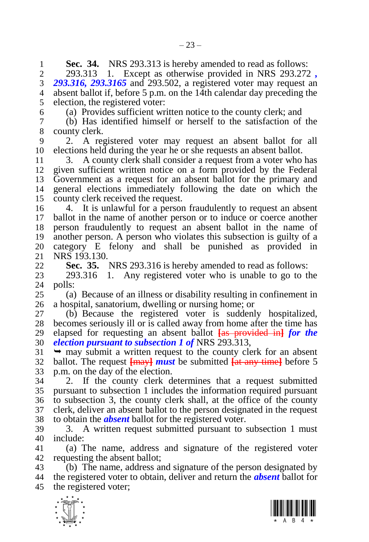**1 Sec. 34.** NRS 293.313 is hereby amended to read as follows:<br>2 293.313 1. Except as otherwise provided in NRS 293.272

 293.313 1. Except as otherwise provided in NRS 293.272 *, 293.316, 293.3165* and 293.502, a registered voter may request an absent ballot if, before 5 p.m. on the 14th calendar day preceding the election, the registered voter:

(a) Provides sufficient written notice to the county clerk; and

 (b) Has identified himself or herself to the satisfaction of the county clerk.

 2. A registered voter may request an absent ballot for all elections held during the year he or she requests an absent ballot.

 3. A county clerk shall consider a request from a voter who has given sufficient written notice on a form provided by the Federal Government as a request for an absent ballot for the primary and general elections immediately following the date on which the county clerk received the request.

 4. It is unlawful for a person fraudulently to request an absent ballot in the name of another person or to induce or coerce another person fraudulently to request an absent ballot in the name of another person. A person who violates this subsection is guilty of a category E felony and shall be punished as provided in NRS 193.130.

<span id="page-22-0"></span>**Sec. 35.** NRS 293.316 is hereby amended to read as follows:

 293.316 1. Any registered voter who is unable to go to the polls:

 (a) Because of an illness or disability resulting in confinement in a hospital, sanatorium, dwelling or nursing home; or

 (b) Because the registered voter is suddenly hospitalized, becomes seriously ill or is called away from home after the time has elapsed for requesting an absent ballot **[**as provided in**]** *for the election pursuant to subsection 1 of* NRS 293.313,

 $31 \rightarrow$  may submit a written request to the county clerk for an absent ballot. The request **[**may**]** *must* be submitted **[**at any time**]** before 5 p.m. on the day of the election.

 2. If the county clerk determines that a request submitted pursuant to subsection 1 includes the information required pursuant to subsection 3, the county clerk shall, at the office of the county clerk, deliver an absent ballot to the person designated in the request to obtain the *absent* ballot for the registered voter.

 3. A written request submitted pursuant to subsection 1 must include:

 (a) The name, address and signature of the registered voter requesting the absent ballot;

 (b) The name, address and signature of the person designated by the registered voter to obtain, deliver and return the *absent* ballot for the registered voter;



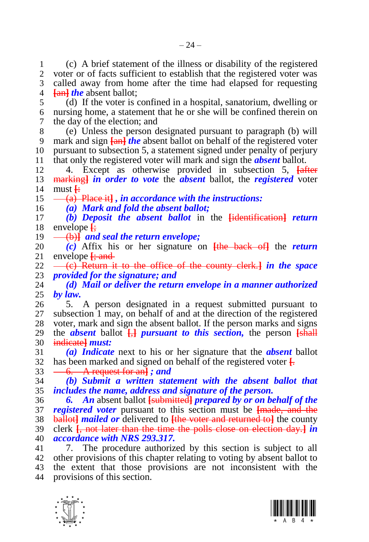(c) A brief statement of the illness or disability of the registered voter or of facts sufficient to establish that the registered voter was called away from home after the time had elapsed for requesting **[**an**]** *the* absent ballot;

 (d) If the voter is confined in a hospital, sanatorium, dwelling or nursing home, a statement that he or she will be confined therein on the day of the election; and

 (e) Unless the person designated pursuant to paragraph (b) will mark and sign **[**an**]** *the* absent ballot on behalf of the registered voter pursuant to subsection 5, a statement signed under penalty of perjury that only the registered voter will mark and sign the *absent* ballot.

 4. Except as otherwise provided in subsection 5, **[**after marking**]** *in order to vote* the *absent* ballot, the *registered* voter must **[**:

(a) Place it**]** *, in accordance with the instructions:*

*(a) Mark and fold the absent ballot;*

 *(b) Deposit the absent ballot* in the **[**identification**]** *return*  envelope **[**;

(b)**]** *and seal the return envelope;*

 *(c)* Affix his or her signature on **[**the back of**]** the *return*  envelope  $\frac{1}{2}$  and

 (c) Return it to the office of the county clerk.**]** *in the space provided for the signature; and*

 *(d) Mail or deliver the return envelope in a manner authorized by law.*

 5. A person designated in a request submitted pursuant to subsection 1 may, on behalf of and at the direction of the registered voter, mark and sign the absent ballot. If the person marks and signs 29 the *absent* ballot  $\frac{1}{b}$  *pursuant to this section*, the person  $\frac{1}{b}$ indicate**]** *must:*

 *(a) Indicate* next to his or her signature that the *absent* ballot has been marked and signed on behalf of the registered voter **[**.

6. A request for an**]** *; and*

 *(b) Submit a written statement with the absent ballot that includes the name, address and signature of the person.*

 *6. An* absent ballot **[**submitted**]** *prepared by or on behalf of the registered voter* pursuant to this section must be **[**made, and the ballot**]** *mailed or* delivered to **[**the voter and returned to**]** the county clerk **[**, not later than the time the polls close on election day.**]** *in accordance with NRS 293.317.*

 7. The procedure authorized by this section is subject to all other provisions of this chapter relating to voting by absent ballot to the extent that those provisions are not inconsistent with the provisions of this section.



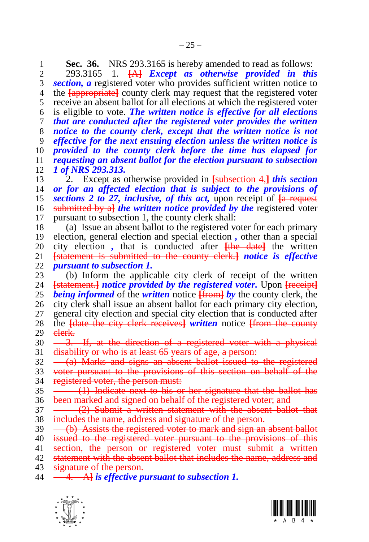**Sec. 36.** NRS 293.3165 is hereby amended to read as follows:<br>2 293.3165 1. <del>FAJ</del> Except as otherwise provided in this 293.3165 1. **[**A**]** *Except as otherwise provided in this section, a* registered voter who provides sufficient written notice to the **[**appropriate**]** county clerk may request that the registered voter receive an absent ballot for all elections at which the registered voter is eligible to vote. *The written notice is effective for all elections that are conducted after the registered voter provides the written notice to the county clerk, except that the written notice is not effective for the next ensuing election unless the written notice is provided to the county clerk before the time has elapsed for requesting an absent ballot for the election pursuant to subsection 1 of NRS 293.313.*

 2. Except as otherwise provided in **[**subsection 4,**]** *this section or for an affected election that is subject to the provisions of sections [2](#page-4-0) to [27,](#page-19-0) inclusive, of this act,* upon receipt of **[**a request submitted by a**]** *the written notice provided by the* registered voter pursuant to subsection 1, the county clerk shall:

 (a) Issue an absent ballot to the registered voter for each primary election, general election and special election *,* other than a special 20 city election, that is conducted after  $\frac{f$ the date<sup>1</sup> the written<br>21 <del>Istatement is submitted to the county clerk. *I notice is effective*</del> **[**statement is submitted to the county clerk.**]** *notice is effective pursuant to subsection 1.*

23 (b) Inform the applicable city clerk of receipt of the written<br>24 **Istatement** *I* notice provided by the registered voter. Upon Freceipt **[statement.]** *notice provided by the registered voter.* Upon **[***receipt*] *being informed* of the *written* notice **[**from**]** *by* the county clerk, the city clerk shall issue an absent ballot for each primary city election, general city election and special city election that is conducted after the **[**date the city clerk receives**]** *written* notice **[**from the county 29 elerk.

 $30 -3$ . If, at the direction of a registered voter with a physical disability or who is at least 65 years of age, a person:

 $32 \left( -\frac{a}{a} \right)$  Marks and signs an absent ballot issued to the registered voter pursuant to the provisions of this section on behalf of the 34 registered voter, the person must:

35 (1) Indicate next to his or her signature that the ballot has been marked and signed on behalf of the registered voter; and

37 (2) Submit a written statement with the absent ballot that includes the name, address and signature of the person.

 $39 \left( b \right)$  Assists the registered voter to mark and sign an absent ballot

issued to the registered voter pursuant to the provisions of this

41 section, the person or registered voter must submit a written

statement with the absent ballot that includes the name, address and

43 signature of the person.<br>44 - 4. Al is *effective n*.

4. A**]** *is effective pursuant to subsection 1.*



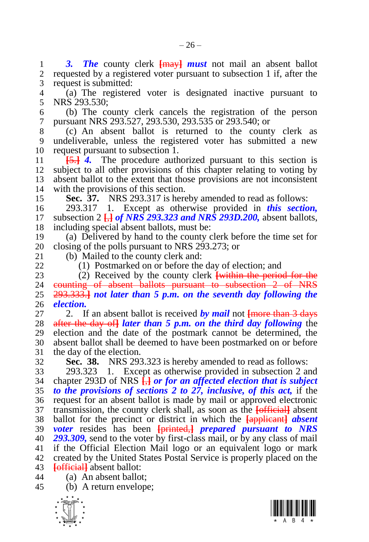1 3. The county clerk  $\frac{F}{k}$  **must** not mail an absent ballot 2 requested by a registered voter pursuant to subsection 1 if after the requested by a registered voter pursuant to subsection 1 if, after the request is submitted:

 (a) The registered voter is designated inactive pursuant to NRS 293.530;

 (b) The county clerk cancels the registration of the person pursuant NRS 293.527, 293.530, 293.535 or 293.540; or

 (c) An absent ballot is returned to the county clerk as undeliverable, unless the registered voter has submitted a new request pursuant to subsection 1.

 **[**5.**]** *4.* The procedure authorized pursuant to this section is subject to all other provisions of this chapter relating to voting by absent ballot to the extent that those provisions are not inconsistent

<span id="page-25-0"></span>14 with the provisions of this section.<br>15 **Sec. 37.** NRS 293.317 is here **Sec. 37.** NRS 293.317 is hereby amended to read as follows:

 293.317 1. Except as otherwise provided in *this section,*  subsection 2 **[**,**]** *of NRS 293.323 and NRS 293D.200,* absent ballots, including special absent ballots, must be:

 (a) Delivered by hand to the county clerk before the time set for 20 closing of the polls pursuant to NRS 293.273; or 21 (b) Mailed to the county clerk and:

(b) Mailed to the county clerk and: (1) Postmarked on or before the day of election; and

23 (2) Received by the county clerk **[within the period for the** 24 counting of absent ballots pursuant to subsection 2 of NRS counting of absent ballots pursuant to subsection 2 of NRS 293.333.**]** *not later than 5 p.m. on the seventh day following the election.*

 2. If an absent ballot is received *by mail* not **[**more than 3 days after the day of**]** *later than 5 p.m. on the third day following* the election and the date of the postmark cannot be determined, the absent ballot shall be deemed to have been postmarked on or before the day of the election.

**Sec. 38.** NRS 293.323 is hereby amended to read as follows:

 293.323 1. Except as otherwise provided in subsection 2 and chapter 293D of NRS **[**,**]** *or for an affected election that is subject to the provisions of sections [2](#page-4-0) to [27,](#page-19-0) inclusive, of this act,* if the request for an absent ballot is made by mail or approved electronic transmission, the county clerk shall, as soon as the **[**official**]** absent ballot for the precinct or district in which the **[**applicant**]** *absent voter* resides has been **[**printed,**]** *prepared pursuant to NRS 293.309,* send to the voter by first-class mail, or by any class of mail if the Official Election Mail logo or an equivalent logo or mark created by the United States Postal Service is properly placed on the **[**official**]** absent ballot:

(a) An absent ballot;

(b) A return envelope;



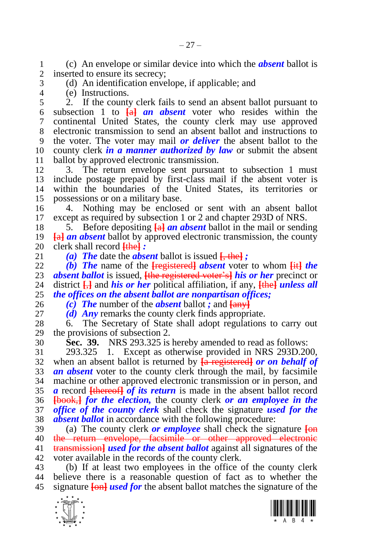(c) An envelope or similar device into which the *absent* ballot is inserted to ensure its secrecy:

- (d) An identification envelope, if applicable; and
- (e) Instructions.

 2. If the county clerk fails to send an absent ballot pursuant to subsection 1 to **[**a**]** *an absent* voter who resides within the continental United States, the county clerk may use approved electronic transmission to send an absent ballot and instructions to the voter. The voter may mail *or deliver* the absent ballot to the county clerk *in a manner authorized by law* or submit the absent ballot by approved electronic transmission.

 3. The return envelope sent pursuant to subsection 1 must include postage prepaid by first-class mail if the absent voter is within the boundaries of the United States, its territories or possessions or on a military base.

 4. Nothing may be enclosed or sent with an absent ballot except as required by subsection 1 or 2 and chapter 293D of NRS.

 5. Before depositing **[**a**]** *an absent* ballot in the mail or sending **[**a**]** *an absent* ballot by approved electronic transmission, the county 20 clerk shall record  $\frac{f\text{the}}{21}$  *:*<br>21 *(a) The* date the *abse* 

(a) **The** date the *absent* ballot is issued  $\frac{1}{2}$ , the *i* 

 *(b) The* name of the **[**registered**]** *absent* voter to whom **[**it**]** *the absent ballot* is issued, <del>[the registered voter's]</del> *his or her* precinct or 24 district  $\Box$  and *his or her* political affiliation, if any, **[the]** *unless all* district  $\frac{1}{2}$  and *his or her* political affiliation, if any,  $\frac{1}{2}$  *unless all the offices on the absent ballot are nonpartisan offices;*

*(c) The* number of the *absent* ballot *;* and **[**any**]**

*(d) Any* remarks the county clerk finds appropriate.

 6. The Secretary of State shall adopt regulations to carry out the provisions of subsection 2.

<span id="page-26-0"></span>

**Sec. 39.** NRS 293.325 is hereby amended to read as follows:

 293.325 1. Except as otherwise provided in NRS 293D.200, when an absent ballot is returned by **[**a registered**]** *or on behalf of an absent* voter to the county clerk through the mail, by facsimile machine or other approved electronic transmission or in person, and *a* record **[**thereof**]** *of its return* is made in the absent ballot record **[**book,**]** *for the election,* the county clerk *or an employee in the office of the county clerk* shall check the signature *used for the absent ballot* in accordance with the following procedure:

 (a) The county clerk *or employee* shall check the signature **[**on the return envelope, facsimile or other approved electronic transmission**]** *used for the absent ballot* against all signatures of the voter available in the records of the county clerk.

 (b) If at least two employees in the office of the county clerk believe there is a reasonable question of fact as to whether the signature **[**on**]** *used for* the absent ballot matches the signature of the



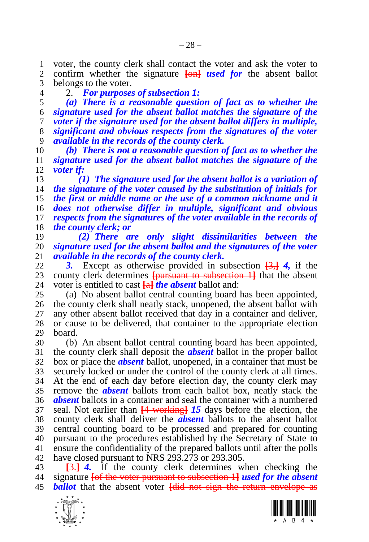1 voter, the county clerk shall contact the voter and ask the voter to 2 confirm whether the signature  $\frac{\text{L}}{\text{L}}$  is  $\frac{d}{dx}$  for the absent ballot confirm whether the signature **[**on**]** *used for* the absent ballot belongs to the voter.

2. *For purposes of subsection 1:*

 *(a) There is a reasonable question of fact as to whether the signature used for the absent ballot matches the signature of the voter if the signature used for the absent ballot differs in multiple, significant and obvious respects from the signatures of the voter available in the records of the county clerk.*

 *(b) There is not a reasonable question of fact as to whether the signature used for the absent ballot matches the signature of the voter if:*

 *(1) The signature used for the absent ballot is a variation of the signature of the voter caused by the substitution of initials for the first or middle name or the use of a common nickname and it does not otherwise differ in multiple, significant and obvious respects from the signatures of the voter available in the records of the county clerk; or*

 *(2) There are only slight dissimilarities between the signature used for the absent ballot and the signatures of the voter*  available in the records of the county clerk.

 *3.* Except as otherwise provided in subsection **[**3,**]** *4,* if the 23 county clerk determines **[pursuant to subsection 1]** that the absent 24 voter is entitled to cast **Ial the absent** ballot and: voter is entitled to cast **[**a**]** *the absent* ballot and:

 (a) No absent ballot central counting board has been appointed, the county clerk shall neatly stack, unopened, the absent ballot with any other absent ballot received that day in a container and deliver, or cause to be delivered, that container to the appropriate election board.

 (b) An absent ballot central counting board has been appointed, the county clerk shall deposit the *absent* ballot in the proper ballot box or place the *absent* ballot, unopened, in a container that must be securely locked or under the control of the county clerk at all times. At the end of each day before election day, the county clerk may remove the *absent* ballots from each ballot box, neatly stack the *absent* ballots in a container and seal the container with a numbered seal. Not earlier than **[**4 working**]** *15* days before the election, the county clerk shall deliver the *absent* ballots to the absent ballot central counting board to be processed and prepared for counting pursuant to the procedures established by the Secretary of State to ensure the confidentiality of the prepared ballots until after the polls have closed pursuant to NRS 293.273 or 293.305.

 **[**3.**]** *4.* If the county clerk determines when checking the signature **[**of the voter pursuant to subsection 1**]** *used for the absent ballot* that the absent voter **[**did not sign the return envelope as



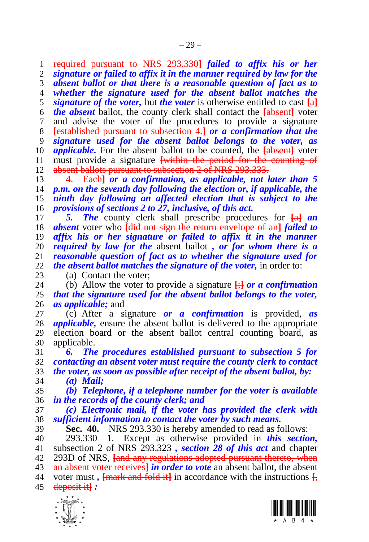required pursuant to NRS 293.330**]** *failed to affix his or her* 

*signature or failed to affix it in the manner required by law for the* 

 *absent ballot or that there is a reasonable question of fact as to whether the signature used for the absent ballot matches the signature of the voter,* but *the voter* is otherwise entitled to cast **[**a**]** *the absent* ballot, the county clerk shall contact the **[**absent**]** voter and advise the voter of the procedures to provide a signature **[**established pursuant to subsection 4.**]** *or a confirmation that the signature used for the absent ballot belongs to the voter, as applicable.* For the absent ballot to be counted, the **[**absent**]** voter must provide a signature **[**within the period for the counting of 12 absent ballots pursuant to subsection 2 of NRS 293.333.

 4. Each**]** *or a confirmation, as applicable, not later than 5 p.m. on the seventh day following the election or, if applicable, the ninth day following an affected election that is subject to the provisions of sections [2](#page-4-0) t[o 27,](#page-19-0) inclusive, of this act.*

 *5. The* county clerk shall prescribe procedures for **[**a**]** *an absent* voter who **[**did not sign the return envelope of an**]** *failed to affix his or her signature or failed to affix it in the manner required by law for the* absent ballot *, or for whom there is a reasonable question of fact as to whether the signature used for the absent ballot matches the signature of the voter,* in order to:

23 (a) Contact the voter;<br>24 (b) Allow the voter to (b) Allow the voter to provide a signature  $\frac{1}{x}$  or a confirmation *that the signature used for the absent ballot belongs to the voter, as applicable;* and

 (c) After a signature *or a confirmation* is provided, *as applicable,* ensure the absent ballot is delivered to the appropriate election board or the absent ballot central counting board, as applicable.

 *6. The procedures established pursuant to subsection 5 for contacting an absent voter must require the county clerk to contact the voter, as soon as possible after receipt of the absent ballot, by: (a) Mail;*

 *(b) Telephone, if a telephone number for the voter is available in the records of the county clerk; and*

 *(c) Electronic mail, if the voter has provided the clerk with sufficient information to contact the voter by such means.*

<span id="page-28-0"></span>**Sec. 40.** NRS 293.330 is hereby amended to read as follows:

 293.330 1. Except as otherwise provided in *this section,*  subsection 2 of NRS 293.323 *, section [28](#page-19-1) of this act* and chapter 293D of NRS, **[**and any regulations adopted pursuant thereto, when

an absent voter receives**]** *in order to vote* an absent ballot, the absent

 voter must *,* **[**mark and fold it**]** in accordance with the instructions **[**, deposit it**]** *:*



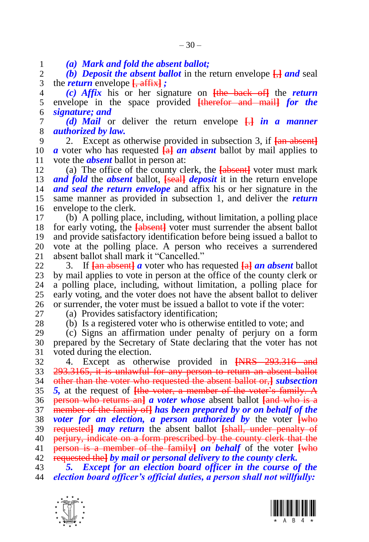*(a) Mark and fold the absent ballot;*

 *(b) Deposit the absent ballot* in the return envelope **[**,**]** *and* seal the *return* envelope **[**, affix**]** *;*

 *(c) Affix* his or her signature on **[**the back of**]** the *return*  envelope in the space provided **[**therefor and mail**]** *for the signature; and*

 *(d) Mail* or deliver the return envelope **[**.**]** *in a manner authorized by law.*

 2. Except as otherwise provided in subsection 3, if **[**an absent**]** *a* voter who has requested **[**a**]** *an absent* ballot by mail applies to vote the *absent* ballot in person at:

 (a) The office of the county clerk, the **[**absent**]** voter must mark *and fold* the *absent* ballot, **[**seal**]** *deposit* it in the return envelope *and seal the return envelope* and affix his or her signature in the same manner as provided in subsection 1, and deliver the *return*  envelope to the clerk.

 (b) A polling place, including, without limitation, a polling place for early voting, the **[**absent**]** voter must surrender the absent ballot and provide satisfactory identification before being issued a ballot to 20 vote at the polling place. A person who receives a surrendered 21 absent ballot shall mark it "Cancelled." absent ballot shall mark it "Cancelled."

 3. If **[**an absent**]** *a* voter who has requested **[**a**]** *an absent* ballot 23 by mail applies to vote in person at the office of the county clerk or 24 a polling place, including, without limitation, a polling place for a polling place, including, without limitation, a polling place for early voting, and the voter does not have the absent ballot to deliver or surrender, the voter must be issued a ballot to vote if the voter:

(a) Provides satisfactory identification;

(b) Is a registered voter who is otherwise entitled to vote; and

 (c) Signs an affirmation under penalty of perjury on a form prepared by the Secretary of State declaring that the voter has not voted during the election.

 4. Except as otherwise provided in **[**NRS 293.316 and 293.3165, it is unlawful for any person to return an absent ballot other than the voter who requested the absent ballot or,**]** *subsection 5,* at the request of **[**the voter, a member of the voter's family. A person who returns an**]** *a voter whose* absent ballot **[**and who is a member of the family of**]** *has been prepared by or on behalf of the voter for an election, a person authorized by* the voter **[**who requested**]** *may return* the absent ballot **[**shall, under penalty of perjury, indicate on a form prescribed by the county clerk that the person is a member of the family**]** *on behalf* of the voter **[**who requested the**]** *by mail or personal delivery to the county clerk.*

 *5. Except for an election board officer in the course of the election board officer's official duties, a person shall not willfully:*



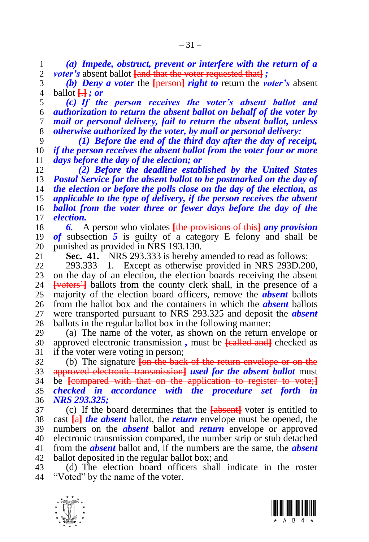*(a) Impede, obstruct, prevent or interfere with the return of a voter's* absent ballot **[**and that the voter requested that**]** *;*

 *(b) Deny a voter* the **[**person**]** *right to* return the *voter's* absent ballot **[**.**]** *; or*

 *(c) If the person receives the voter's absent ballot and authorization to return the absent ballot on behalf of the voter by mail or personal delivery, fail to return the absent ballot, unless otherwise authorized by the voter, by mail or personal delivery:*

 *(1) Before the end of the third day after the day of receipt, if the person receives the absent ballot from the voter four or more days before the day of the election; or*

 *(2) Before the deadline established by the United States Postal Service for the absent ballot to be postmarked on the day of the election or before the polls close on the day of the election, as applicable to the type of delivery, if the person receives the absent ballot from the voter three or fewer days before the day of the election.*

 *6.* A person who violates **[**the provisions of this**]** *any provision of* subsection *5* is guilty of a category E felony and shall be 20 punished as provided in NRS 193.130.<br>21 **Sec. 41.** NRS 293.333 is hereby a

**Sec. 41.** NRS 293.333 is hereby amended to read as follows:

 293.333 1. Except as otherwise provided in NRS 293D.200, 23 on the day of an election, the election boards receiving the absent Evoters<sup>21</sup> ballots from the county clerk shall, in the presence of a **[voters']** ballots from the county clerk shall, in the presence of a majority of the election board officers, remove the *absent* ballots from the ballot box and the containers in which the *absent* ballots were transported pursuant to NRS 293.325 and deposit the *absent*  ballots in the regular ballot box in the following manner:

 (a) The name of the voter, as shown on the return envelope or approved electronic transmission *,* must be **[**called and**]** checked as if the voter were voting in person;

 (b) The signature **[**on the back of the return envelope or on the approved electronic transmission**]** *used for the absent ballot* must be **[**compared with that on the application to register to vote;**]** *checked in accordance with the procedure set forth in NRS 293.325;*

 (c) If the board determines that the **[**absent**]** voter is entitled to cast **[**a**]** *the absent* ballot, the *return* envelope must be opened, the numbers on the *absent* ballot and *return* envelope or approved electronic transmission compared, the number strip or stub detached from the *absent* ballot and, if the numbers are the same, the *absent*  ballot deposited in the regular ballot box; and

 (d) The election board officers shall indicate in the roster "Voted" by the name of the voter.



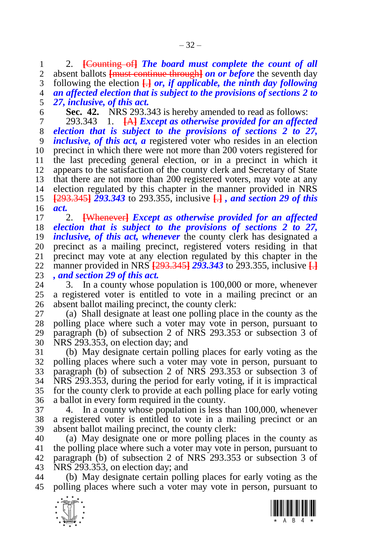2. **[**Counting of**]** *The board must complete the count of all*  absent ballots **[**must continue through**]** *on or before* the seventh day following the election **[**.**]** *or, if applicable, the ninth day following an affected election that is subject to the provisions of sections [2](#page-4-0) to [27,](#page-19-0) inclusive, of this act.*

**Sec. 42.** NRS 293.343 is hereby amended to read as follows:

 293.343 1. **[**A**]** *Except as otherwise provided for an affected election that is subject to the provisions of sections [2](#page-4-0) to [27,](#page-19-0) inclusive, of this act, a* registered voter who resides in an election precinct in which there were not more than 200 voters registered for the last preceding general election, or in a precinct in which it appears to the satisfaction of the county clerk and Secretary of State that there are not more than 200 registered voters, may vote at any election regulated by this chapter in the manner provided in NRS **[**293.345**]** *293.343* to 293.355, inclusive **[**.**]** *, and section [29](#page-20-0) of this act.*

 2. **[**Whenever**]** *Except as otherwise provided for an affected election that is subject to the provisions of sections [2](#page-4-0) to [27,](#page-19-0) inclusive, of this act, whenever* the county clerk has designated a 20 precinct as a mailing precinct, registered voters residing in that 21 precinct may vote at any election regulated by this chapter in the precinct may vote at any election regulated by this chapter in the manner provided in NRS **[**293.345**]** *293.343* to 293.355, inclusive **[**.**]** *, and section [29](#page-20-0) of this act.*

3. In a county whose population is 100,000 or more, whenever a registered voter is entitled to vote in a mailing precinct or an absent ballot mailing precinct, the county clerk:

 (a) Shall designate at least one polling place in the county as the polling place where such a voter may vote in person, pursuant to paragraph (b) of subsection 2 of NRS 293.353 or subsection 3 of NRS 293.353, on election day; and

 (b) May designate certain polling places for early voting as the polling places where such a voter may vote in person, pursuant to paragraph (b) of subsection 2 of NRS 293.353 or subsection 3 of NRS 293.353, during the period for early voting, if it is impractical for the county clerk to provide at each polling place for early voting a ballot in every form required in the county.

 4. In a county whose population is less than 100,000, whenever a registered voter is entitled to vote in a mailing precinct or an absent ballot mailing precinct, the county clerk:

 (a) May designate one or more polling places in the county as the polling place where such a voter may vote in person, pursuant to paragraph (b) of subsection 2 of NRS 293.353 or subsection 3 of NRS 293.353, on election day; and

 (b) May designate certain polling places for early voting as the polling places where such a voter may vote in person, pursuant to



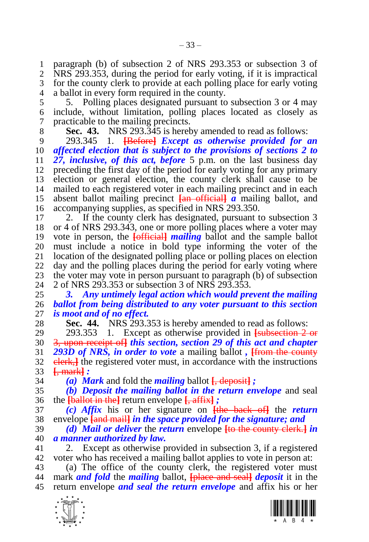paragraph (b) of subsection 2 of NRS 293.353 or subsection 3 of NRS 293.353, during the period for early voting, if it is impractical for the county clerk to provide at each polling place for early voting a ballot in every form required in the county.

 5. Polling places designated pursuant to subsection 3 or 4 may include, without limitation, polling places located as closely as practicable to the mailing precincts.

<span id="page-32-1"></span>**Sec. 43.** NRS 293.345 is hereby amended to read as follows:

 293.345 1. **[**Before**]** *Except as otherwise provided for an affected election that is subject to the provisions of sections [2](#page-4-0) to [27,](#page-19-0) inclusive, of this act, before* 5 p.m. on the last business day preceding the first day of the period for early voting for any primary election or general election, the county clerk shall cause to be mailed to each registered voter in each mailing precinct and in each absent ballot mailing precinct **[**an official**]** *a* mailing ballot, and accompanying supplies, as specified in NRS 293.350.

 2. If the county clerk has designated, pursuant to subsection 3 or 4 of NRS 293.343, one or more polling places where a voter may vote in person, the **[**official**]** *mailing* ballot and the sample ballot must include a notice in bold type informing the voter of the location of the designated polling place or polling places on election day and the polling places during the period for early voting where 23 the voter may vote in person pursuant to paragraph (b) of subsection 24 2 of NRS 293.353 or subsection 3 of NRS 293.353. 2 of NRS 293.353 or subsection 3 of NRS 293.353.

 *3. Any untimely legal action which would prevent the mailing ballot from being distributed to any voter pursuant to this section is moot and of no effect.*

<span id="page-32-0"></span>**Sec. 44.** NRS 293.353 is hereby amended to read as follows:

 293.353 1. Except as otherwise provided in **[**subsection 2 or 3, upon receipt of**]** *this section, section [29](#page-20-0) of this act and chapter 293D of NRS, in order to vote* a mailing ballot *,* **[**from the county 32 elerk, the registered voter must, in accordance with the instructions **[**, mark**]** *:*

*(a) Mark* and fold the *mailing* ballot **[**, deposit**]** *;*

 *(b) Deposit the mailing ballot in the return envelope* and seal the **[**ballot in the**]** return envelope **[**, affix**]** *;*

 *(c) Affix* his or her signature on **[**the back of**]** the *return*  envelope **[**and mail**]** *in the space provided for the signature; and*

 *(d) Mail or deliver* the *return* envelope **[**to the county clerk.**]** *in a manner authorized by law.*

 2. Except as otherwise provided in subsection 3, if a registered voter who has received a mailing ballot applies to vote in person at:

 (a) The office of the county clerk, the registered voter must mark *and fold* the *mailing* ballot, **[**place and seal**]** *deposit* it in the return envelope *and seal the return envelope* and affix his or her



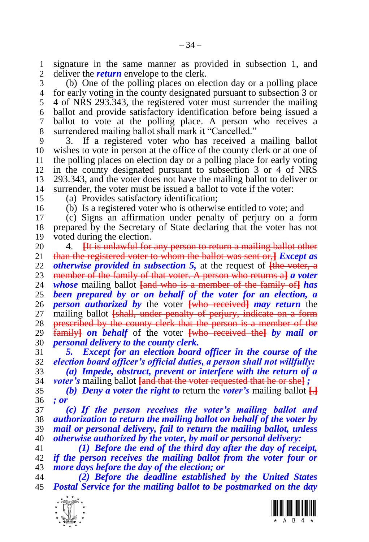1 signature in the same manner as provided in subsection 1, and  $\alpha$  deliver the *return* envelope to the clerk. deliver the *return* envelope to the clerk.

 (b) One of the polling places on election day or a polling place for early voting in the county designated pursuant to subsection 3 or 4 of NRS 293.343, the registered voter must surrender the mailing ballot and provide satisfactory identification before being issued a ballot to vote at the polling place. A person who receives a surrendered mailing ballot shall mark it "Cancelled."

 3. If a registered voter who has received a mailing ballot wishes to vote in person at the office of the county clerk or at one of the polling places on election day or a polling place for early voting in the county designated pursuant to subsection 3 or 4 of NRS 293.343, and the voter does not have the mailing ballot to deliver or surrender, the voter must be issued a ballot to vote if the voter:

(a) Provides satisfactory identification;

(b) Is a registered voter who is otherwise entitled to vote; and

 (c) Signs an affirmation under penalty of perjury on a form prepared by the Secretary of State declaring that the voter has not voted during the election.

20 4. **Hetally 12 and 12 and 12 any person to return a mailing ballot other** 21 than the registered voter to whom the ballot was sent or. *I Except as*  than the registered voter to whom the ballot was sent or,**]** *Except as otherwise provided in subsection 5,* at the request of **[**the voter, a member of the family of that voter. A person who returns a**]** *a voter whose* mailing ballot **[**and who is a member of the family of**]** *has been prepared by or on behalf of the voter for an election, a person authorized by* the voter **[**who received**]** *may return* the 27 mailing ballot **[shall, under penalty of perjury, indicate on a form** 28 prescribed by the county clerk that the person is a member of the family**]** *on behalf* of the voter **[**who received the**]** *by mail or personal delivery to the county clerk.*

 *5. Except for an election board officer in the course of the election board officer's official duties, a person shall not willfully: (a) Impede, obstruct, prevent or interfere with the return of a voter's* mailing ballot **[**and that the voter requested that he or she**]** *;*

35 *(b) Deny a voter the right to return the voter's mailing ballot*  $\Box$ *; or*

 *(c) If the person receives the voter's mailing ballot and authorization to return the mailing ballot on behalf of the voter by mail or personal delivery, fail to return the mailing ballot, unless otherwise authorized by the voter, by mail or personal delivery:*

 *(1) Before the end of the third day after the day of receipt, if the person receives the mailing ballot from the voter four or more days before the day of the election; or*

 *(2) Before the deadline established by the United States Postal Service for the mailing ballot to be postmarked on the day* 



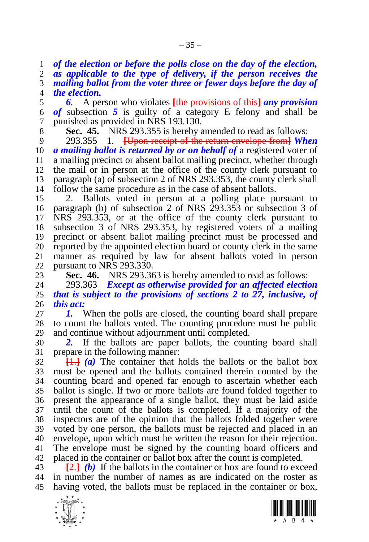*of the election or before the polls close on the day of the election, as applicable to the type of delivery, if the person receives the* 

 *mailing ballot from the voter three or fewer days before the day of the election.*

 *6.* A person who violates **[**the provisions of this**]** *any provision of* subsection *5* is guilty of a category E felony and shall be punished as provided in NRS 193.130.

**Sec. 45.** NRS 293.355 is hereby amended to read as follows:

 293.355 1. **[**Upon receipt of the return envelope from**]** *When a mailing ballot is returned by or on behalf of* a registered voter of a mailing precinct or absent ballot mailing precinct, whether through the mail or in person at the office of the county clerk pursuant to paragraph (a) of subsection 2 of NRS 293.353, the county clerk shall follow the same procedure as in the case of absent ballots.

 2. Ballots voted in person at a polling place pursuant to paragraph (b) of subsection 2 of NRS 293.353 or subsection 3 of NRS 293.353, or at the office of the county clerk pursuant to subsection 3 of NRS 293.353, by registered voters of a mailing precinct or absent ballot mailing precinct must be processed and 20 reported by the appointed election board or county clerk in the same<br>21 manner as required by law for absent ballots voted in person manner as required by law for absent ballots voted in person pursuant to NRS 293.330.

23 **Sec. 46.** NRS 293.363 is hereby amended to read as follows:<br>24 293.363 *Except as otherwise provided for an affected electic* 

 293.363 *Except as otherwise provided for an affected election that is subject to the provisions of sections [2](#page-4-0) to [27,](#page-19-0) inclusive, of this act:*

 *1.* When the polls are closed, the counting board shall prepare to count the ballots voted. The counting procedure must be public and continue without adjournment until completed.

 *2.* If the ballots are paper ballots, the counting board shall prepare in the following manner:

 $\frac{1}{2}$  **[1.**] *(a)* The container that holds the ballots or the ballot box must be opened and the ballots contained therein counted by the counting board and opened far enough to ascertain whether each ballot is single. If two or more ballots are found folded together to present the appearance of a single ballot, they must be laid aside until the count of the ballots is completed. If a majority of the inspectors are of the opinion that the ballots folded together were voted by one person, the ballots must be rejected and placed in an envelope, upon which must be written the reason for their rejection. The envelope must be signed by the counting board officers and placed in the container or ballot box after the count is completed.

 **[**2.**]** *(b)* If the ballots in the container or box are found to exceed in number the number of names as are indicated on the roster as having voted, the ballots must be replaced in the container or box,



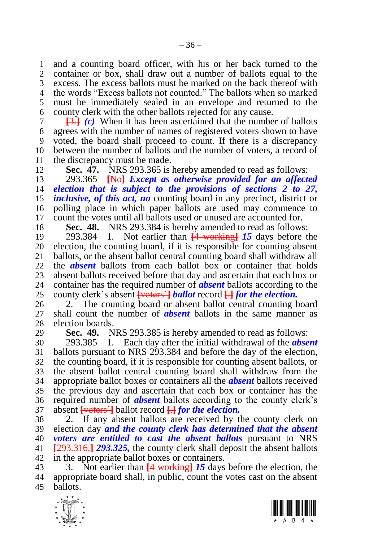1 and a counting board officer, with his or her back turned to the<br>2 container or box, shall draw out a number of ballots equal to the container or box, shall draw out a number of ballots equal to the excess. The excess ballots must be marked on the back thereof with the words "Excess ballots not counted." The ballots when so marked must be immediately sealed in an envelope and returned to the county clerk with the other ballots rejected for any cause.

 **[**3.**]** *(c)* When it has been ascertained that the number of ballots agrees with the number of names of registered voters shown to have voted, the board shall proceed to count. If there is a discrepancy between the number of ballots and the number of voters, a record of 11 the discrepancy must be made.<br>12 **Sec. 47.** NRS 293.365 is

**Sec. 47.** NRS 293.365 is hereby amended to read as follows:

 293.365 **[**No**]** *Except as otherwise provided for an affected election that is subject to the provisions of sections [2](#page-4-0) to [27,](#page-19-0) inclusive, of this act, no* counting board in any precinct, district or polling place in which paper ballots are used may commence to count the votes until all ballots used or unused are accounted for.

<span id="page-35-0"></span>**Sec. 48.** NRS 293.384 is hereby amended to read as follows:

 293.384 1. Not earlier than **[**4 working**]** *15* days before the 20 election, the counting board, if it is responsible for counting absent 21 ballots, or the absent ballot central counting board shall withdraw all ballots, or the absent ballot central counting board shall withdraw all the *absent* ballots from each ballot box or container that holds 23 absent ballots received before that day and ascertain that each box or 24 container has the required number of **absent** ballots according to the container has the required number of *absent* ballots according to the county clerk's absent **[**voters'**]** *ballot* record **[**.**]** *for the election.*

 2. The counting board or absent ballot central counting board shall count the number of *absent* ballots in the same manner as election boards.

<span id="page-35-1"></span>**Sec. 49.** NRS 293.385 is hereby amended to read as follows:

 293.385 1. Each day after the initial withdrawal of the *absent*  ballots pursuant to NRS 293.384 and before the day of the election, the counting board, if it is responsible for counting absent ballots, or the absent ballot central counting board shall withdraw from the appropriate ballot boxes or containers all the *absent* ballots received the previous day and ascertain that each box or container has the required number of *absent* ballots according to the county clerk's absent **[**voters'**]** ballot record **[**.**]** *for the election.*

 2. If any absent ballots are received by the county clerk on election day *and the county clerk has determined that the absent voters are entitled to cast the absent ballots* pursuant to NRS **[**293.316,**]** *293.325,* the county clerk shall deposit the absent ballots in the appropriate ballot boxes or containers.

 3. Not earlier than **[**4 working**]** *15* days before the election, the appropriate board shall, in public, count the votes cast on the absent ballots.



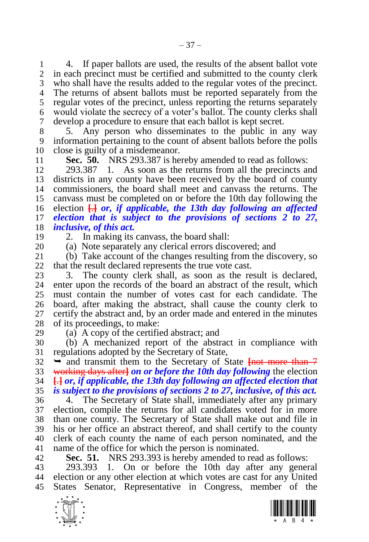1 4. If paper ballots are used, the results of the absent ballot vote<br>2 in each precinct must be certified and submitted to the county clerk in each precinct must be certified and submitted to the county clerk who shall have the results added to the regular votes of the precinct. The returns of absent ballots must be reported separately from the regular votes of the precinct, unless reporting the returns separately would violate the secrecy of a voter's ballot. The county clerks shall develop a procedure to ensure that each ballot is kept secret.

8 5. Any person who disseminates to the public in any way<br>9 information pertaining to the count of absent ballots before the polls information pertaining to the count of absent ballots before the polls close is guilty of a misdemeanor.

**Sec. 50.** NRS 293.387 is hereby amended to read as follows:

 293.387 1. As soon as the returns from all the precincts and districts in any county have been received by the board of county commissioners, the board shall meet and canvass the returns. The canvass must be completed on or before the 10th day following the election **[**.**]** *or, if applicable, the 13th day following an affected election that is subject to the provisions of sections [2](#page-4-0) to [27,](#page-19-0) inclusive, of this act.*

2. In making its canvass, the board shall:

20 (a) Note separately any clerical errors discovered; and 21 (b) Take account of the changes resulting from the dis

 (b) Take account of the changes resulting from the discovery, so that the result declared represents the true vote cast.

23 3. The county clerk shall, as soon as the result is declared,<br>24 enter upon the records of the board an abstract of the result, which enter upon the records of the board an abstract of the result, which must contain the number of votes cast for each candidate. The board, after making the abstract, shall cause the county clerk to certify the abstract and, by an order made and entered in the minutes of its proceedings, to make:

(a) A copy of the certified abstract; and

 (b) A mechanized report of the abstract in compliance with regulations adopted by the Secretary of State,

 $32 \rightarrow$  and transmit them to the Secretary of State **First more than** 7 working days after**]** *on or before the 10th day following* the election **[**.**]** *or, if applicable, the 13th day following an affected election that is subject to the provisions of sections [2](#page-4-0) to [27,](#page-19-0) inclusive, of this act.*

 4. The Secretary of State shall, immediately after any primary election, compile the returns for all candidates voted for in more than one county. The Secretary of State shall make out and file in his or her office an abstract thereof, and shall certify to the county clerk of each county the name of each person nominated, and the name of the office for which the person is nominated.

**Sec. 51.** NRS 293.393 is hereby amended to read as follows:

 293.393 1. On or before the 10th day after any general election or any other election at which votes are cast for any United States Senator, Representative in Congress, member of the



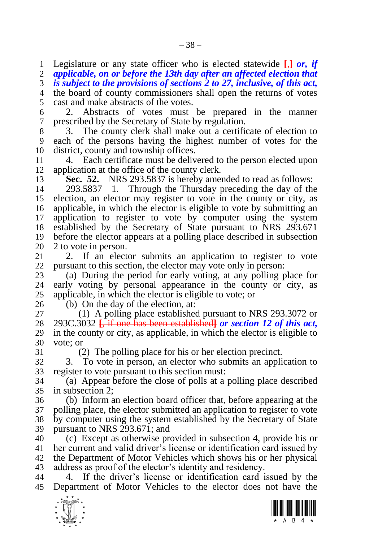Legislature or any state officer who is elected statewide **[**,**]** *or, if* 

*applicable, on or before the 13th day after an affected election that* 

 *is subject to the provisions of sections [2](#page-4-0) to [27,](#page-19-0) inclusive, of this act,*  the board of county commissioners shall open the returns of votes

cast and make abstracts of the votes.

 2. Abstracts of votes must be prepared in the manner prescribed by the Secretary of State by regulation.

 3. The county clerk shall make out a certificate of election to each of the persons having the highest number of votes for the district, county and township offices.

 4. Each certificate must be delivered to the person elected upon application at the office of the county clerk.

**Sec. 52.** NRS 293.5837 is hereby amended to read as follows:

 293.5837 1. Through the Thursday preceding the day of the election, an elector may register to vote in the county or city, as applicable, in which the elector is eligible to vote by submitting an application to register to vote by computer using the system established by the Secretary of State pursuant to NRS 293.671 before the elector appears at a polling place described in subsection

20 2 to vote in person.<br>21 2. If an elect 2. If an elector submits an application to register to vote pursuant to this section, the elector may vote only in person:

 (a) During the period for early voting, at any polling place for early voting by personal appearance in the county or city, as applicable, in which the elector is eligible to vote; or

(b) On the day of the election, at:

 (1) A polling place established pursuant to NRS 293.3072 or 293C.3032 **[**, if one has been established**]** *or section [12](#page-9-0) of this act,*  in the county or city, as applicable, in which the elector is eligible to vote; or

(2) The polling place for his or her election precinct.

 3. To vote in person, an elector who submits an application to register to vote pursuant to this section must:

 (a) Appear before the close of polls at a polling place described in subsection 2;

 (b) Inform an election board officer that, before appearing at the polling place, the elector submitted an application to register to vote by computer using the system established by the Secretary of State pursuant to NRS 293.671; and

 (c) Except as otherwise provided in subsection 4, provide his or her current and valid driver's license or identification card issued by the Department of Motor Vehicles which shows his or her physical address as proof of the elector's identity and residency.

 4. If the driver's license or identification card issued by the Department of Motor Vehicles to the elector does not have the



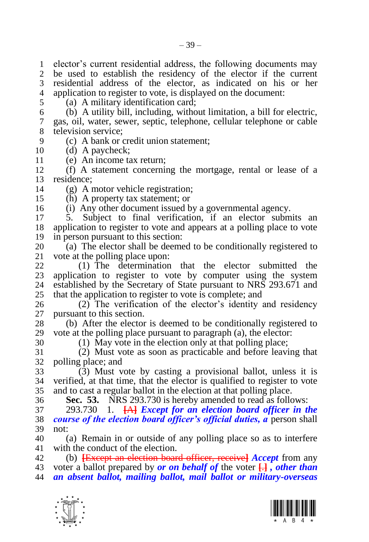elector's current residential address, the following documents may be used to establish the residency of the elector if the current residential address of the elector, as indicated on his or her application to register to vote, is displayed on the document:

(a) A military identification card;

 (b) A utility bill, including, without limitation, a bill for electric, gas, oil, water, sewer, septic, telephone, cellular telephone or cable television service;

- (c) A bank or credit union statement;
- (d) A paycheck;
- (e) An income tax return;

 (f) A statement concerning the mortgage, rental or lease of a residence;

(g) A motor vehicle registration;

(h) A property tax statement; or

(i) Any other document issued by a governmental agency.

 5. Subject to final verification, if an elector submits an application to register to vote and appears at a polling place to vote in person pursuant to this section:

20 (a) The elector shall be deemed to be conditionally registered to 21 vote at the polling place upon: vote at the polling place upon:

 (1) The determination that the elector submitted the 23 application to register to vote by computer using the system 24 established by the Secretary of State pursuant to NRS 293.671 and established by the Secretary of State pursuant to NRS 293.671 and that the application to register to vote is complete; and

 (2) The verification of the elector's identity and residency pursuant to this section.

 (b) After the elector is deemed to be conditionally registered to vote at the polling place pursuant to paragraph (a), the elector:

(1) May vote in the election only at that polling place;

 (2) Must vote as soon as practicable and before leaving that polling place; and

 (3) Must vote by casting a provisional ballot, unless it is verified, at that time, that the elector is qualified to register to vote and to cast a regular ballot in the election at that polling place.

<span id="page-38-0"></span>**Sec. 53.** NRS 293.730 is hereby amended to read as follows:

 293.730 1. **[**A**]** *Except for an election board officer in the course of the election board officer's official duties, a* person shall not:

 (a) Remain in or outside of any polling place so as to interfere with the conduct of the election.

 (b) **[**Except an election board officer, receive**]** *Accept* from any voter a ballot prepared by *or on behalf of* the voter **[**.**]** *, other than an absent ballot, mailing ballot, mail ballot or military-overseas* 



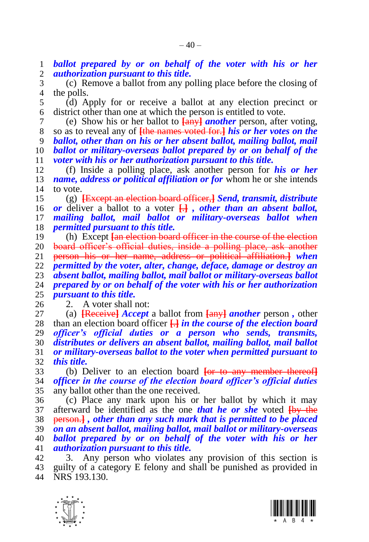*ballot prepared by or on behalf of the voter with his or her authorization pursuant to this title.*

 (c) Remove a ballot from any polling place before the closing of the polls.

 (d) Apply for or receive a ballot at any election precinct or district other than one at which the person is entitled to vote.

 (e) Show his or her ballot to **[**any**]** *another* person, after voting, so as to reveal any of **[**the names voted for.**]** *his or her votes on the ballot, other than on his or her absent ballot, mailing ballot, mail ballot or military-overseas ballot prepared by or on behalf of the voter with his or her authorization pursuant to this title.*

 (f) Inside a polling place, ask another person for *his or her name, address or political affiliation or for whom he or she intends* to vote.

 (g) **[**Except an election board officer,**]** *Send, transmit, distribute or* deliver a ballot to a voter **[**.**]** *, other than an absent ballot, mailing ballot, mail ballot or military-overseas ballot when permitted pursuant to this title.*

 (h) Except **[**an election board officer in the course of the election board officer's official duties, inside a polling place, ask another person his or her name, address or political affiliation.**]** *when permitted by the voter, alter, change, deface, damage or destroy an absent ballot, mailing ballot, mail ballot or military-overseas ballot prepared by or on behalf of the voter with his or her authorization pursuant to this title.*

2. A voter shall not:

 (a) **[**Receive**]** *Accept* a ballot from **[**any**]** *another* person *,* other than an election board officer **[**.**]** *in the course of the election board officer's official duties or a person who sends, transmits, distributes or delivers an absent ballot, mailing ballot, mail ballot or military-overseas ballot to the voter when permitted pursuant to this title.*

 (b) Deliver to an election board **[**or to any member thereof**]** *officer in the course of the election board officer's official duties*  any ballot other than the one received.

 (c) Place any mark upon his or her ballot by which it may afterward be identified as the one *that he or she* voted **[**by the person.**]** *, other than any such mark that is permitted to be placed on an absent ballot, mailing ballot, mail ballot or military-overseas ballot prepared by or on behalf of the voter with his or her authorization pursuant to this title.*

 3. Any person who violates any provision of this section is guilty of a category E felony and shall be punished as provided in NRS 193.130.



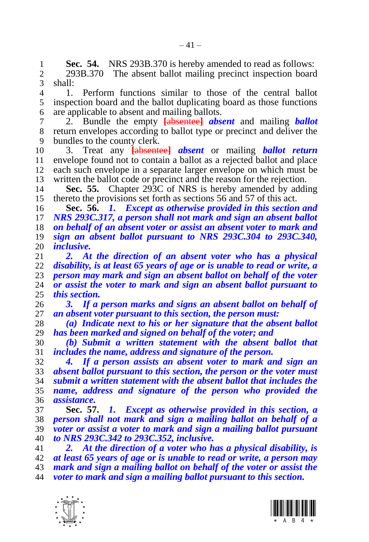**Sec. 54.** NRS 293B.370 is hereby amended to read as follows:<br>2 293B.370 The absent ballot mailing precinct inspection board

2 293B.370 The absent ballot mailing precinct inspection board<br>3 shall: shall:

 1. Perform functions similar to those of the central ballot inspection board and the ballot duplicating board as those functions are applicable to absent and mailing ballots.

 2. Bundle the empty **[**absentee**]** *absent* and mailing *ballot*  return envelopes according to ballot type or precinct and deliver the bundles to the county clerk.

 3. Treat any **[**absentee**]** *absent* or mailing *ballot return*  11 envelope found not to contain a ballot as a rejected ballot and place<br>12 each such envelope in a separate larger envelope on which must be each such envelope in a separate larger envelope on which must be written the ballot code or precinct and the reason for the rejection.

 **Sec. 55.** Chapter 293C of NRS is hereby amended by adding thereto the provisions set forth as sections [56](#page-40-0) and [57](#page-40-1) of this act.

<span id="page-40-0"></span> **Sec. 56.** *1. Except as otherwise provided in this section and NRS 293C.317, a person shall not mark and sign an absent ballot on behalf of an absent voter or assist an absent voter to mark and sign an absent ballot pursuant to NRS 293C.304 to 293C.340, inclusive.*

 *2. At the direction of an absent voter who has a physical disability, is at least 65 years of age or is unable to read or write, a person may mark and sign an absent ballot on behalf of the voter or assist the voter to mark and sign an absent ballot pursuant to this section.* 

 *3. If a person marks and signs an absent ballot on behalf of an absent voter pursuant to this section, the person must:*

 *(a) Indicate next to his or her signature that the absent ballot has been marked and signed on behalf of the voter; and*

 *(b) Submit a written statement with the absent ballot that includes the name, address and signature of the person.*

 *4. If a person assists an absent voter to mark and sign an absent ballot pursuant to this section, the person or the voter must submit a written statement with the absent ballot that includes the name, address and signature of the person who provided the assistance.*

<span id="page-40-1"></span> **Sec. 57.** *1. Except as otherwise provided in this section, a person shall not mark and sign a mailing ballot on behalf of a voter or assist a voter to mark and sign a mailing ballot pursuant to NRS 293C.342 to 293C.352, inclusive.*

 *2. At the direction of a voter who has a physical disability, is at least 65 years of age or is unable to read or write, a person may mark and sign a mailing ballot on behalf of the voter or assist the voter to mark and sign a mailing ballot pursuant to this section.*



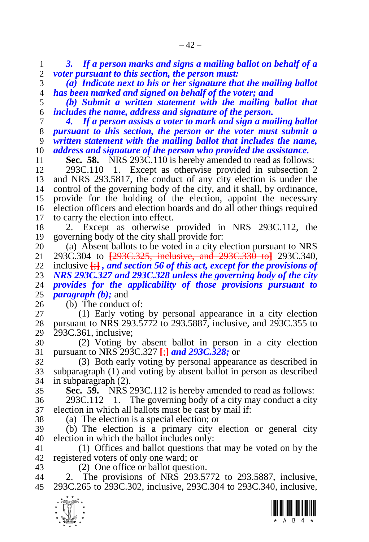*3. If a person marks and signs a mailing ballot on behalf of a voter pursuant to this section, the person must:*

 *(a) Indicate next to his or her signature that the mailing ballot has been marked and signed on behalf of the voter; and*

 *(b) Submit a written statement with the mailing ballot that includes the name, address and signature of the person.*

 *4. If a person assists a voter to mark and sign a mailing ballot pursuant to this section, the person or the voter must submit a written statement with the mailing ballot that includes the name, address and signature of the person who provided the assistance.*

**Sec. 58.** NRS 293C.110 is hereby amended to read as follows:

 293C.110 1. Except as otherwise provided in subsection 2 and NRS 293.5817, the conduct of any city election is under the control of the governing body of the city, and it shall, by ordinance, provide for the holding of the election, appoint the necessary election officers and election boards and do all other things required to carry the election into effect.

 2. Except as otherwise provided in NRS 293C.112, the governing body of the city shall provide for:

20 (a) Absent ballots to be voted in a city election pursuant to NRS<br>21 293C.304 to <del>[293C.325, inclusive, and 293C.330 to]</del> 293C.340. 293C.304 to **[**293C.325, inclusive, and 293C.330 to**]** 293C.340, inclusive **[**;**]** *, and section [56](#page-40-0) of this act, except for the provisions of NRS 293C.327 and 293C.328 unless the governing body of the city provides for the applicability of those provisions pursuant to paragraph (b);* and

(b) The conduct of:

 (1) Early voting by personal appearance in a city election pursuant to NRS 293.5772 to 293.5887, inclusive, and 293C.355 to 293C.361, inclusive;

 (2) Voting by absent ballot in person in a city election pursuant to NRS 293C.327 **[**;**]** *and 293C.328;* or

 (3) Both early voting by personal appearance as described in subparagraph (1) and voting by absent ballot in person as described in subparagraph (2).

**Sec. 59.** NRS 293C.112 is hereby amended to read as follows:

 293C.112 1. The governing body of a city may conduct a city election in which all ballots must be cast by mail if:

(a) The election is a special election; or

 (b) The election is a primary city election or general city election in which the ballot includes only:

 (1) Offices and ballot questions that may be voted on by the registered voters of only one ward; or

(2) One office or ballot question.

 2. The provisions of NRS 293.5772 to 293.5887, inclusive, 293C.265 to 293C.302, inclusive, 293C.304 to 293C.340, inclusive,



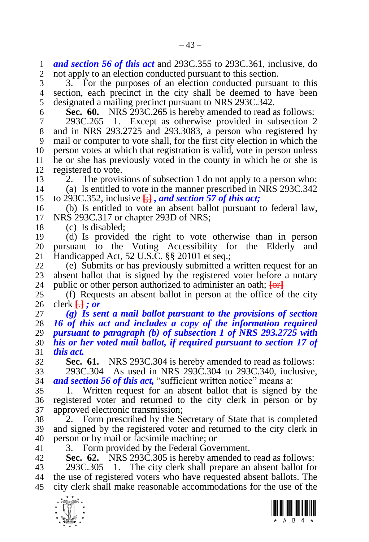*and section [56](#page-40-0) of this act* and 293C.355 to 293C.361, inclusive, do not apply to an election conducted pursuant to this section.

 3. For the purposes of an election conducted pursuant to this section, each precinct in the city shall be deemed to have been designated a mailing precinct pursuant to NRS 293C.342.

**Sec. 60.** NRS 293C.265 is hereby amended to read as follows:

 293C.265 1. Except as otherwise provided in subsection 2 and in NRS 293.2725 and 293.3083, a person who registered by mail or computer to vote shall, for the first city election in which the person votes at which that registration is valid, vote in person unless he or she has previously voted in the county in which he or she is registered to vote.

 2. The provisions of subsection 1 do not apply to a person who: (a) Is entitled to vote in the manner prescribed in NRS 293C.342

to 293C.352, inclusive **[**;**]** *, and section [57](#page-40-1) of this act;*

 (b) Is entitled to vote an absent ballot pursuant to federal law, NRS 293C.317 or chapter 293D of NRS;

(c) Is disabled;

 (d) Is provided the right to vote otherwise than in person 20 pursuant to the Voting Accessibility for the Elderly and 21 Handicapped Act, 52 U.S.C.  $\&$  20101 et seq.: Handicapped Act, 52 U.S.C. §§ 20101 et seq.;

 (e) Submits or has previously submitted a written request for an 23 absent ballot that is signed by the registered voter before a notary 24 public or other person authorized to administer an oath:  $\overline{\text{forl}}$ public or other person authorized to administer an oath; **[**or**]**

 (f) Requests an absent ballot in person at the office of the city clerk **[**.**]** *; or*

 *(g) Is sent a mail ballot pursuant to the provisions of section [16](#page-11-1) of this act and includes a copy of the information required pursuant to paragraph (b) of subsection 1 of NRS 293.2725 with his or her voted mail ballot, if required pursuant to section [17](#page-12-0) of this act.*

**Sec. 61.** NRS 293C.304 is hereby amended to read as follows:

 293C.304 As used in NRS 293C.304 to 293C.340, inclusive, *and section [56](#page-40-0) of this act,* "sufficient written notice" means a:

 1. Written request for an absent ballot that is signed by the registered voter and returned to the city clerk in person or by approved electronic transmission;

 2. Form prescribed by the Secretary of State that is completed and signed by the registered voter and returned to the city clerk in person or by mail or facsimile machine; or

3. Form provided by the Federal Government.

<span id="page-42-0"></span>**Sec. 62.** NRS 293C.305 is hereby amended to read as follows:

 293C.305 1. The city clerk shall prepare an absent ballot for the use of registered voters who have requested absent ballots. The city clerk shall make reasonable accommodations for the use of the



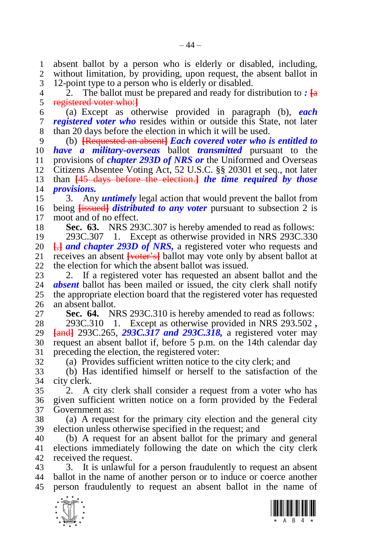absent ballot by a person who is elderly or disabled, including, without limitation, by providing, upon request, the absent ballot in 12-point type to a person who is elderly or disabled.

 2. The ballot must be prepared and ready for distribution to *:* **[**a registered voter who:**]**

 (a) Except as otherwise provided in paragraph (b), *each registered voter who* resides within or outside this State, not later than 20 days before the election in which it will be used.

 (b) **[**Requested an absent**]** *Each covered voter who is entitled to have a military-overseas* ballot *transmitted* pursuant to the 11 provisions of *chapter 293D of NRS or* the Uniformed and Overseas<br>12 Citizens Absentee Voting Act, 52 U.S.C. 88 20301 et seq., not later Citizens Absentee Voting Act, 52 U.S.C. §§ 20301 et seq., not later than **[**45 days before the election.**]** *the time required by those provisions.*

 3. Any *untimely* legal action that would prevent the ballot from being **[**issued**]** *distributed to any voter* pursuant to subsection 2 is moot and of no effect.

**Sec. 63.** NRS 293C.307 is hereby amended to read as follows:

 293C.307 1. Except as otherwise provided in NRS 293C.330 **[,]** *and chapter 293D of NRS*, a registered voter who requests and receives an absent Freely and lot may vote only by absent ballot at receives an absent **[**voter's**]** ballot may vote only by absent ballot at the election for which the absent ballot was issued.

23 2. If a registered voter has requested an absent ballot and the 24 **absent** ballot has been mailed or issued, the city clerk shall notify **absent** ballot has been mailed or issued, the city clerk shall notify the appropriate election board that the registered voter has requested an absent ballot.

**Sec. 64.** NRS 293C.310 is hereby amended to read as follows:

 293C.310 1. Except as otherwise provided in NRS 293.502 *,* **[**and**]** 293C.265, *293C.317 and 293C.318,* a registered voter may request an absent ballot if, before 5 p.m. on the 14th calendar day preceding the election, the registered voter:

(a) Provides sufficient written notice to the city clerk; and

 (b) Has identified himself or herself to the satisfaction of the city clerk.

 2. A city clerk shall consider a request from a voter who has given sufficient written notice on a form provided by the Federal Government as:

 (a) A request for the primary city election and the general city election unless otherwise specified in the request; and

 (b) A request for an absent ballot for the primary and general elections immediately following the date on which the city clerk received the request.

 3. It is unlawful for a person fraudulently to request an absent ballot in the name of another person or to induce or coerce another person fraudulently to request an absent ballot in the name of



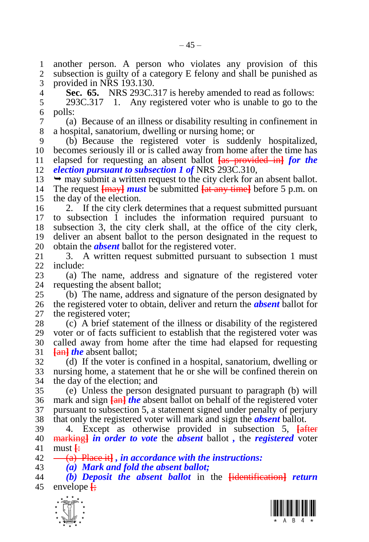$-45-$ 

 another person. A person who violates any provision of this subsection is guilty of a category E felony and shall be punished as provided in NRS 193.130.

<span id="page-44-0"></span>**Sec. 65.** NRS 293C.317 is hereby amended to read as follows:

 293C.317 1. Any registered voter who is unable to go to the polls:

 (a) Because of an illness or disability resulting in confinement in a hospital, sanatorium, dwelling or nursing home; or

 (b) Because the registered voter is suddenly hospitalized, becomes seriously ill or is called away from home after the time has elapsed for requesting an absent ballot **[**as provided in**]** *for the election pursuant to subsection 1 of* NRS 293C.310,

 $13 \rightarrow$  may submit a written request to the city clerk for an absent ballot. The request **[**may**]** *must* be submitted **[**at any time**]** before 5 p.m. on the day of the election.

 2. If the city clerk determines that a request submitted pursuant to subsection 1 includes the information required pursuant to subsection 3, the city clerk shall, at the office of the city clerk, deliver an absent ballot to the person designated in the request to 20 obtain the *absent* ballot for the registered voter.<br>21 3. A written request submitted pursuant t

3. A written request submitted pursuant to subsection 1 must include:

 (a) The name, address and signature of the registered voter requesting the absent ballot:

 (b) The name, address and signature of the person designated by the registered voter to obtain, deliver and return the *absent* ballot for 27 the registered voter:

 (c) A brief statement of the illness or disability of the registered voter or of facts sufficient to establish that the registered voter was called away from home after the time had elapsed for requesting **[**an**]** *the* absent ballot;

 (d) If the voter is confined in a hospital, sanatorium, dwelling or nursing home, a statement that he or she will be confined therein on the day of the election; and

 (e) Unless the person designated pursuant to paragraph (b) will mark and sign **[**an**]** *the* absent ballot on behalf of the registered voter pursuant to subsection 5, a statement signed under penalty of perjury that only the registered voter will mark and sign the *absent* ballot.

 4. Except as otherwise provided in subsection 5, **[**after marking**]** *in order to vote* the *absent* ballot *,* the *registered* voter must **[**:

(a) Place it**]** *, in accordance with the instructions:*

*(a) Mark and fold the absent ballot;*

 *(b) Deposit the absent ballot* in the **[**identification**]** *return*  envelope **[**;



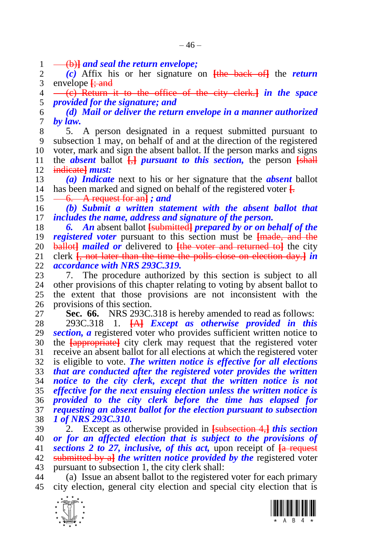1 (b)**}** *and seal the return envelope;*<br>2 (c) Affix his or her signature

 *(c)* Affix his or her signature on **[**the back of**]** the *return*  envelope **[**; and

 (c) Return it to the office of the city clerk.**]** *in the space provided for the signature; and*

 *(d) Mail or deliver the return envelope in a manner authorized by law.*

 5. A person designated in a request submitted pursuant to subsection 1 may, on behalf of and at the direction of the registered voter, mark and sign the absent ballot. If the person marks and signs 11 the *absent* ballot  $\Box$  **[**, *pursuant to this section*, the person  $\Box$  **[**shall] indicate**]** *must:*

 *(a) Indicate* next to his or her signature that the *absent* ballot has been marked and signed on behalf of the registered voter **[**.

 $15 \quad -6. \quad A$  request for an<sup> $\vert$ </sup> *; and* 

 *(b) Submit a written statement with the absent ballot that includes the name, address and signature of the person.*

 *6. An* absent ballot **[**submitted**]** *prepared by or on behalf of the registered voter* pursuant to this section must be  $\frac{1}{2}$  and the 20 **ballottanumized** or delivered to  $\frac{1}{2}$  fluence and *i* eturned to the city **ballot** *mailed or* **delivered to <del>[the voter and returned to]</del> the city 21 clerk <del><b>f**. not later than the time the polls close on election day. *in*</del> clerk **[**, not later than the time the polls close on election day.**]** *in accordance with NRS 293C.319.*

 7. The procedure authorized by this section is subject to all other provisions of this chapter relating to voting by absent ballot to the extent that those provisions are not inconsistent with the provisions of this section.

**Sec. 66.** NRS 293C.318 is hereby amended to read as follows:

 293C.318 1. **[**A**]** *Except as otherwise provided in this section, a* registered voter who provides sufficient written notice to the **[**appropriate**]** city clerk may request that the registered voter receive an absent ballot for all elections at which the registered voter is eligible to vote. *The written notice is effective for all elections that are conducted after the registered voter provides the written notice to the city clerk, except that the written notice is not effective for the next ensuing election unless the written notice is provided to the city clerk before the time has elapsed for requesting an absent ballot for the election pursuant to subsection 1 of NRS 293C.310.*

 2. Except as otherwise provided in **[**subsection 4,**]** *this section or for an affected election that is subject to the provisions of sections [2](#page-4-0) to [27,](#page-19-0) inclusive, of this act,* upon receipt of **[**a request submitted by a**]** *the written notice provided by the* registered voter pursuant to subsection 1, the city clerk shall:

 (a) Issue an absent ballot to the registered voter for each primary city election, general city election and special city election that is



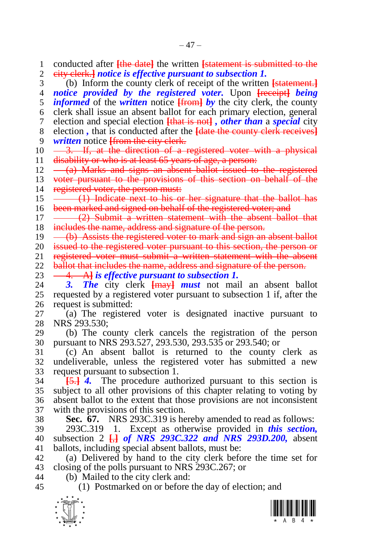$\frac{1}{\sqrt{2}}$  conducted after **[**the date**]** the written **[**statement is submitted to the city clerk.**]** *notice is effective pursuant to subsection 1.* (b) Inform the county clerk of receipt of the written **[**statement.**]** *notice provided by the registered voter.* Upon **[**receipt**]** *being informed* of the *written* notice **[**from**]** *by* the city clerk, the county clerk shall issue an absent ballot for each primary election, general election and special election **[**that is not**]** *, other than* a *special* city election *,* that is conducted after the **[**date the county clerk receives**]** *written* notice **[**from the city clerk.  $10 \quad -3.$  If, at the direction of a registered voter with a physical 11 disability or who is at least 65 years of age, a person:  $12 \left( \frac{a}{b} \right)$  Marks and signs an absent ballot issued to the registered 13 voter pursuant to the provisions of this section on behalf of the 14 registered voter, the person must: 15 (1) Indicate next to his or her signature that the ballot has 16 been marked and signed on behalf of the registered voter; and 17 (2) Submit a written statement with the absent ballot that 18 includes the name, address and signature of the person. 19 – (b) Assists the registered voter to mark and sign an absent ballot 20 issued to the registered voter pursuant to this section, the person or 21 registered voter must submit a written statement with the absent 22 ballot that includes the name, address and signature of the person. **4. A<sub></sub>** *is effective pursuant to subsection 1.*<br>24 **3.** *The* city clerk **Herry-Litter** must not main *3. The* city clerk **[**may**]** *must* not mail an absent ballot requested by a registered voter pursuant to subsection 1 if, after the request is submitted: (a) The registered voter is designated inactive pursuant to NRS 293.530; (b) The county clerk cancels the registration of the person pursuant to NRS 293.527, 293.530, 293.535 or 293.540; or (c) An absent ballot is returned to the county clerk as undeliverable, unless the registered voter has submitted a new request pursuant to subsection 1. **[**5.**]** *4.* The procedure authorized pursuant to this section is subject to all other provisions of this chapter relating to voting by absent ballot to the extent that those provisions are not inconsistent with the provisions of this section. **Sec. 67.** NRS 293C.319 is hereby amended to read as follows: 293C.319 1. Except as otherwise provided in *this section,*  subsection 2 **[**,**]** *of NRS 293C.322 and NRS 293D.200,* absent ballots, including special absent ballots, must be: (a) Delivered by hand to the city clerk before the time set for closing of the polls pursuant to NRS 293C.267; or (b) Mailed to the city clerk and: (1) Postmarked on or before the day of election; and

<span id="page-46-0"></span>

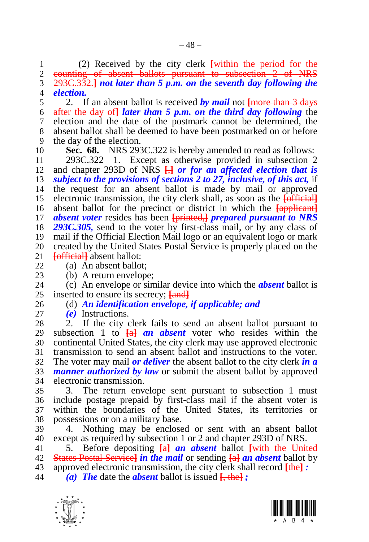(2) Received by the city clerk **[**within the period for the counting of absent ballots pursuant to subsection 2 of NRS 293C.332.**]** *not later than 5 p.m. on the seventh day following the election.*

 2. If an absent ballot is received *by mail* not **[**more than 3 days after the day of**]** *later than 5 p.m. on the third day following* the election and the date of the postmark cannot be determined, the absent ballot shall be deemed to have been postmarked on or before the day of the election.

**Sec. 68.** NRS 293C.322 is hereby amended to read as follows:

 293C.322 1. Except as otherwise provided in subsection 2 and chapter 293D of NRS **[**,**]** *or for an affected election that is subject to the provisions of sections [2](#page-4-0) to [27,](#page-19-0) inclusive, of this act,* if the request for an absent ballot is made by mail or approved electronic transmission, the city clerk shall, as soon as the **[**official**]** absent ballot for the precinct or district in which the **[**applicant**]** *absent voter* resides has been **[**printed,**]** *prepared pursuant to NRS 293C.305,* send to the voter by first-class mail, or by any class of mail if the Official Election Mail logo or an equivalent logo or mark 20 created by the United States Postal Service is properly placed on the 21 **[official]** absent ballot: **Fofficial** absent ballot:

(a) An absent ballot;

23 (b) A return envelope;<br>24 (c) An envelope or sin (c) An envelope or similar device into which the *absent* ballot is inserted to ensure its secrecy; **[**and**]**

# (d) *An identification envelope, if applicable; and*

*(e)* Instructions.

 2. If the city clerk fails to send an absent ballot pursuant to subsection 1 to **[**a**]** *an absent* voter who resides within the continental United States, the city clerk may use approved electronic transmission to send an absent ballot and instructions to the voter. The voter may mail *or deliver* the absent ballot to the city clerk *in a manner authorized by law* or submit the absent ballot by approved electronic transmission.

 3. The return envelope sent pursuant to subsection 1 must include postage prepaid by first-class mail if the absent voter is within the boundaries of the United States, its territories or possessions or on a military base.

 4. Nothing may be enclosed or sent with an absent ballot except as required by subsection 1 or 2 and chapter 293D of NRS.

5. Before depositing **[**a**]** *an absent* ballot **[**with the United

States Postal Service**]** *in the mail* or sending **[**a**]** *an absent* ballot by

 approved electronic transmission, the city clerk shall record **[**the**]** *: (a) The* date the *absent* ballot is issued **[**, the**]** *;*



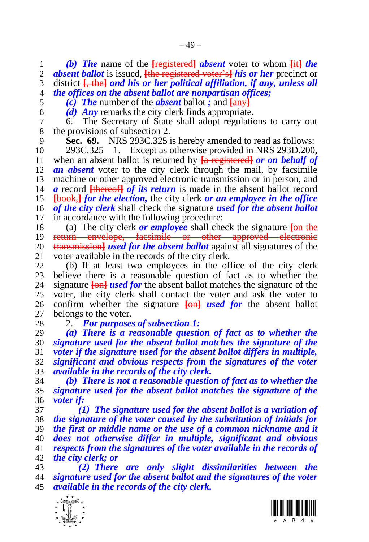*(b) The* name of the **[**registered**]** *absent* voter to whom **[**it**]** *the absent ballot* is issued, **[**the registered voter's**]** *his or her* precinct or district **[**, the**]** *and his or her political affiliation, if any, unless all the offices on the absent ballot are nonpartisan offices;*

*(c) The* number of the *absent* ballot *;* and **[**any**]**

*(d) Any* remarks the city clerk finds appropriate.

 6. The Secretary of State shall adopt regulations to carry out the provisions of subsection 2.

<span id="page-48-0"></span>**Sec. 69.** NRS 293C.325 is hereby amended to read as follows:

 293C.325 1. Except as otherwise provided in NRS 293D.200, when an absent ballot is returned by **[**a registered**]** *or on behalf of an absent* voter to the city clerk through the mail, by facsimile machine or other approved electronic transmission or in person, and *a* record **[**thereof**]** *of its return* is made in the absent ballot record **[**book,**]** *for the election,* the city clerk *or an employee in the office of the city clerk* shall check the signature *used for the absent ballot*  in accordance with the following procedure:

 (a) The city clerk *or employee* shall check the signature **[**on the return envelope, facsimile or other approved electronic **transmission**] *used for the absent ballot* against all signatures of the 21 voter available in the records of the city clerk. voter available in the records of the city clerk.

 (b) If at least two employees in the office of the city clerk 23 believe there is a reasonable question of fact as to whether the signature  $\frac{\text{I}}{\text{O}}$  is a reasonable question of fact as to whether the 24 signature **[**on**]** *used for* the absent ballot matches the signature of the voter, the city clerk shall contact the voter and ask the voter to confirm whether the signature **[**on**]** *used for* the absent ballot belongs to the voter.

2. *For purposes of subsection 1:*

 *(a) There is a reasonable question of fact as to whether the signature used for the absent ballot matches the signature of the voter if the signature used for the absent ballot differs in multiple, significant and obvious respects from the signatures of the voter available in the records of the city clerk.*

 *(b) There is not a reasonable question of fact as to whether the signature used for the absent ballot matches the signature of the voter if:*

 *(1) The signature used for the absent ballot is a variation of the signature of the voter caused by the substitution of initials for the first or middle name or the use of a common nickname and it does not otherwise differ in multiple, significant and obvious respects from the signatures of the voter available in the records of the city clerk; or*

 *(2) There are only slight dissimilarities between the signature used for the absent ballot and the signatures of the voter available in the records of the city clerk.*



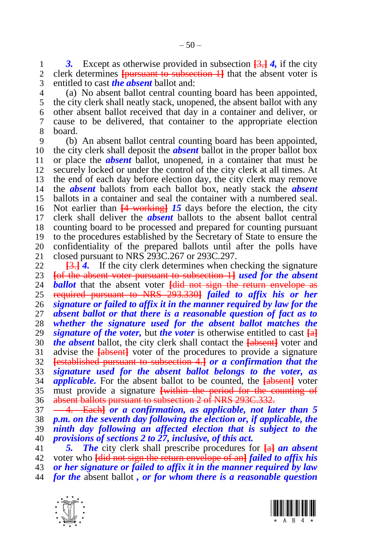1 3. Except as otherwise provided in subsection  $\frac{3}{3}$ , *4*, if the city<br>2 clerk determines **[pursuant to subsection 1**] that the absent voter is clerk determines **[**pursuant to subsection 1**]** that the absent voter is entitled to cast *the absent* ballot and:

 (a) No absent ballot central counting board has been appointed, the city clerk shall neatly stack, unopened, the absent ballot with any other absent ballot received that day in a container and deliver, or cause to be delivered, that container to the appropriate election board.

 (b) An absent ballot central counting board has been appointed, the city clerk shall deposit the *absent* ballot in the proper ballot box or place the *absent* ballot, unopened, in a container that must be securely locked or under the control of the city clerk at all times. At the end of each day before election day, the city clerk may remove the *absent* ballots from each ballot box, neatly stack the *absent*  ballots in a container and seal the container with a numbered seal. Not earlier than **[**4 working**]** *15* days before the election, the city clerk shall deliver the *absent* ballots to the absent ballot central counting board to be processed and prepared for counting pursuant to the procedures established by the Secretary of State to ensure the 20 confidentiality of the prepared ballots until after the polls have 21 closed pursuant to NRS 293C.267 or 293C.297. closed pursuant to NRS 293C.267 or 293C.297.

 **[**3.**]** *4.* If the city clerk determines when checking the signature **[**of the absent voter pursuant to subsection 1**]** *used for the absent ballot* that the absent voter **[did not sign the return envelope as**  required pursuant to NRS 293.330**]** *failed to affix his or her signature or failed to affix it in the manner required by law for the absent ballot or that there is a reasonable question of fact as to whether the signature used for the absent ballot matches the signature of the voter,* but *the voter* is otherwise entitled to cast **[**a**]** *the absent* ballot, the city clerk shall contact the **[**absent**]** voter and advise the **[**absent**]** voter of the procedures to provide a signature **[**established pursuant to subsection 4.**]** *or a confirmation that the signature used for the absent ballot belongs to the voter, as applicable.* For the absent ballot to be counted, the **[**absent**]** voter must provide a signature **[**within the period for the counting of 36 absent ballots pursuant to subsection 2 of NRS 293C.332.

 4. Each**]** *or a confirmation, as applicable, not later than 5 p.m. on the seventh day following the election or, if applicable, the ninth day following an affected election that is subject to the provisions of sections [2](#page-4-0) t[o 27,](#page-19-0) inclusive, of this act.*

 *5. The* city clerk shall prescribe procedures for **[**a**]** *an absent*  voter who **[**did not sign the return envelope of an**]** *failed to affix his or her signature or failed to affix it in the manner required by law* 

*for the* absent ballot *, or for whom there is a reasonable question* 



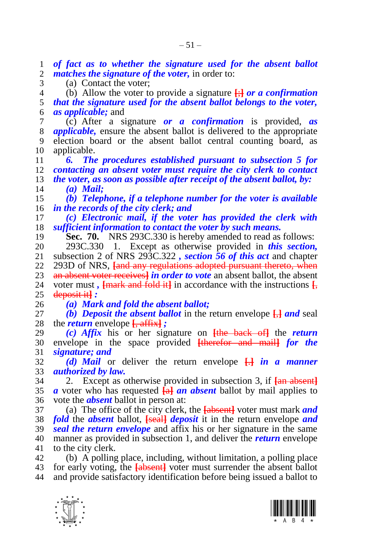*of fact as to whether the signature used for the absent ballot matches the signature of the voter,* in order to:

(a) Contact the voter;

 (b) Allow the voter to provide a signature **[**;**]** *or a confirmation that the signature used for the absent ballot belongs to the voter, as applicable;* and

- (c) After a signature *or a confirmation* is provided, *as applicable,* ensure the absent ballot is delivered to the appropriate election board or the absent ballot central counting board, as applicable.
- *6. The procedures established pursuant to subsection 5 for contacting an absent voter must require the city clerk to contact the voter, as soon as possible after receipt of the absent ballot, by: (a) Mail;*
- *(b) Telephone, if a telephone number for the voter is available in the records of the city clerk; and*
- *(c) Electronic mail, if the voter has provided the clerk with sufficient information to contact the voter by such means.*
- <span id="page-50-0"></span>**Sec. 70.** NRS 293C.330 is hereby amended to read as follows:
- 293C.330 1. Except as otherwise provided in *this section,* subsection 2 of NRS 293C.322 *, section [56](#page-40-0) of this act* and chapter 293D of NRS, **[**and any regulations adopted pursuant thereto, when

**an absent voter receives** *in order to vote* an absent ballot, the absent 24 voter must. *Imark and fold it i* in accordance with the instructions *I* voter must,  $\frac{1}{2}$  **[**mark and fold it] in accordance with the instructions  $\frac{1}{2}$ deposit it**]** *:*

- *(a) Mark and fold the absent ballot;*
- *(b) Deposit the absent ballot* in the return envelope **[**,**]** *and* seal the *return* envelope **[**, affix**]** *;*
- *(c) Affix* his or her signature on **[**the back of**]** the *return*  envelope in the space provided **[**therefor and mail**]** *for the signature; and*
- *(d) Mail* or deliver the return envelope **[**.**]** *in a manner authorized by law.*
- 2. Except as otherwise provided in subsection 3, if **[**an absent**]** *a* voter who has requested **[**a**]** *an absent* ballot by mail applies to vote the *absent* ballot in person at:
- (a) The office of the city clerk, the **[**absent**]** voter must mark *and fold* the *absent* ballot, **[**seal**]** *deposit* it in the return envelope *and seal the return envelope* and affix his or her signature in the same manner as provided in subsection 1, and deliver the *return* envelope to the city clerk.
- (b) A polling place, including, without limitation, a polling place for early voting, the **[**absent**]** voter must surrender the absent ballot and provide satisfactory identification before being issued a ballot to



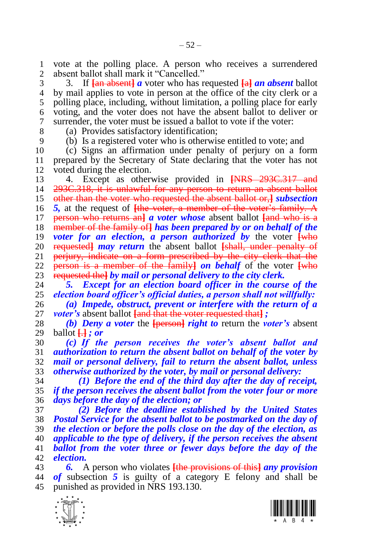1 vote at the polling place. A person who receives a surrendered 2 absent ballot shall mark it "Cancelled." absent ballot shall mark it "Cancelled."

 3. If **[**an absent**]** *a* voter who has requested **[**a**]** *an absent* ballot by mail applies to vote in person at the office of the city clerk or a polling place, including, without limitation, a polling place for early voting, and the voter does not have the absent ballot to deliver or surrender, the voter must be issued a ballot to vote if the voter:

 (a) Provides satisfactory identification; (b) Is a registered voter who is otherwise entitled to vote; and

 (c) Signs an affirmation under penalty of perjury on a form 11 prepared by the Secretary of State declaring that the voter has not 12 voted during the election. voted during the election.

 4. Except as otherwise provided in **[**NRS 293C.317 and 293C.318, it is unlawful for any person to return an absent ballot other than the voter who requested the absent ballot or,**]** *subsection 5,* at the request of **[**the voter, a member of the voter's family. A person who returns an**]** *a voter whose* absent ballot **[**and who is a member of the family of**]** *has been prepared by or on behalf of the voter for an election, a person authorized by* the voter **[**who 20 requested *may return* the absent ballot *[shall, under penalty of* 21 periury, indicate on a form prescribed by the city clerk that the perjury, indicate on a form prescribed by the city clerk that the person is a member of the family**]** *on behalf* of the voter **[**who requested the**]** *by mail or personal delivery to the city clerk.*

 *5. Except for an election board officer in the course of the election board officer's official duties, a person shall not willfully:*

 *(a) Impede, obstruct, prevent or interfere with the return of a voter's* absent ballot **[**and that the voter requested that**]** *;*

 *(b) Deny a voter* the **[**person**]** *right to* return the *voter's* absent ballot **[**.**]** *; or*

 *(c) If the person receives the voter's absent ballot and authorization to return the absent ballot on behalf of the voter by mail or personal delivery, fail to return the absent ballot, unless otherwise authorized by the voter, by mail or personal delivery:*

 *(1) Before the end of the third day after the day of receipt, if the person receives the absent ballot from the voter four or more days before the day of the election; or*

 *(2) Before the deadline established by the United States Postal Service for the absent ballot to be postmarked on the day of the election or before the polls close on the day of the election, as applicable to the type of delivery, if the person receives the absent ballot from the voter three or fewer days before the day of the election.*

 *6.* A person who violates **[**the provisions of this**]** *any provision of* subsection *5* is guilty of a category E felony and shall be punished as provided in NRS 193.130.



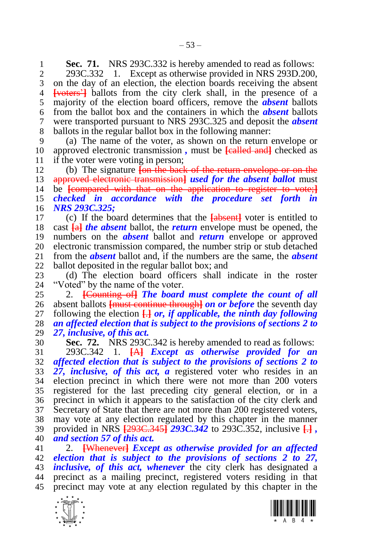**Sec. 71.** NRS 293C.332 is hereby amended to read as follows:<br>2. 293C.332 1. Except as otherwise provided in NRS 293D.200.

 293C.332 1. Except as otherwise provided in NRS 293D.200, on the day of an election, the election boards receiving the absent **[**voters'**]** ballots from the city clerk shall, in the presence of a majority of the election board officers, remove the *absent* ballots from the ballot box and the containers in which the *absent* ballots were transported pursuant to NRS 293C.325 and deposit the *absent*  ballots in the regular ballot box in the following manner:

 (a) The name of the voter, as shown on the return envelope or approved electronic transmission *,* must be **[**called and**]** checked as if the voter were voting in person;

 (b) The signature **[**on the back of the return envelope or on the approved electronic transmission**]** *used for the absent ballot* must be **[**compared with that on the application to register to vote;**]** *checked in accordance with the procedure set forth in NRS 293C.325;*

 (c) If the board determines that the **[**absent**]** voter is entitled to cast **[**a**]** *the absent* ballot, the *return* envelope must be opened, the numbers on the *absent* ballot and *return* envelope or approved 20 electronic transmission compared, the number strip or stub detached 21 from the **absent** ballot and, if the numbers are the same, the **absent**  from the *absent* ballot and, if the numbers are the same, the *absent*  ballot deposited in the regular ballot box; and

23 (d) The election board officers shall indicate in the roster 24 "Voted" by the name of the voter. "Voted" by the name of the voter.

 2. **[**Counting of**]** *The board must complete the count of all*  absent ballots **[**must continue through**]** *on or before* the seventh day following the election **[**.**]** *or, if applicable, the ninth day following an affected election that is subject to the provisions of sections [2](#page-4-0) to [27,](#page-19-0) inclusive, of this act.*

 **Sec. 72.** NRS 293C.342 is hereby amended to read as follows: 293C.342 1. **[**A**]** *Except as otherwise provided for an affected election that is subject to the provisions of sections [2](#page-4-0) to [27,](#page-19-0) inclusive, of this act, a* registered voter who resides in an election precinct in which there were not more than 200 voters registered for the last preceding city general election, or in a precinct in which it appears to the satisfaction of the city clerk and Secretary of State that there are not more than 200 registered voters, may vote at any election regulated by this chapter in the manner provided in NRS **[**293C.345**]** *293C.342* to 293C.352, inclusive **[**.**]** *, and section [57](#page-40-1) of this act.*

 2. **[**Whenever**]** *Except as otherwise provided for an affected election that is subject to the provisions of sections [2](#page-4-0) to [27,](#page-19-0) inclusive, of this act, whenever* the city clerk has designated a precinct as a mailing precinct, registered voters residing in that precinct may vote at any election regulated by this chapter in the



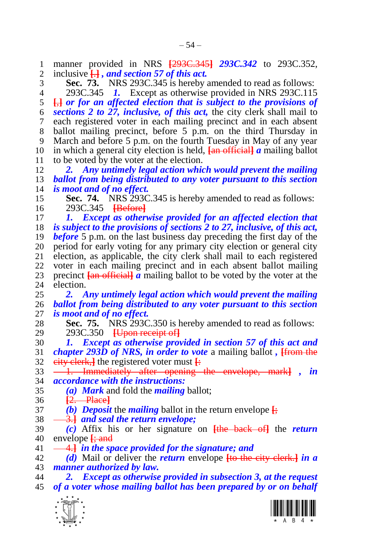<span id="page-53-2"></span><span id="page-53-1"></span> $\frac{1}{\sqrt{2}}$  manner provided in NRS **[**293C.345**]** *293C.342* to 293C.352, inclusive **[**.**]** *, and section [57](#page-40-1) of this act.* **Sec. 73.** NRS 293C.345 is hereby amended to read as follows: 293C.345 *1.* Except as otherwise provided in NRS 293C.115 **[**,**]** *or for an affected election that is subject to the provisions of sections [2](#page-4-0) to [27,](#page-19-0) inclusive, of this act,* the city clerk shall mail to each registered voter in each mailing precinct and in each absent ballot mailing precinct, before 5 p.m. on the third Thursday in March and before 5 p.m. on the fourth Tuesday in May of any year in which a general city election is held, **[**an official**]** *a* mailing ballot 11 to be voted by the voter at the election.<br>12  $\frac{2}{\sqrt{2}}$  Any untimely legal action which *2. Any untimely legal action which would prevent the mailing ballot from being distributed to any voter pursuant to this section is moot and of no effect.* **Sec. 74.** NRS 293C.345 is hereby amended to read as follows: 293C.345 **[**Before**]** *1. Except as otherwise provided for an affected election that is subject to the provisions of sections [2](#page-4-0) to [27,](#page-19-0) inclusive, of this act, before* 5 p.m. on the last business day preceding the first day of the 20 period for early voting for any primary city election or general city<br>21 election, as applicable, the city clerk shall mail to each registered election, as applicable, the city clerk shall mail to each registered voter in each mailing precinct and in each absent ballot mailing 23 precinct  $\frac{1}{2}$  **a** mailing ballot to be voted by the voter at the election. election. *2. Any untimely legal action which would prevent the mailing ballot from being distributed to any voter pursuant to this section is moot and of no effect.* **Sec. 75.** NRS 293C.350 is hereby amended to read as follows: 293C.350 **[**Upon receipt of**]** *1. Except as otherwise provided in section [57](#page-40-1) of this act and chapter 293D of NRS, in order to vote* a mailing ballot *,* **[**from the eity clerk, the registered voter must  $\frac{1}{2}$  1. Immediately after opening the envelope, mark**]** *, in accordance with the instructions: (a) Mark* and fold the *mailing* ballot; **[**2. Place**]** *(b) Deposit* the *mailing* ballot in the return envelope **[**; 3.**]** *and seal the return envelope; (c)* Affix his or her signature on **[**the back of**]** the *return*  envelope **[**; and 4.**]** *in the space provided for the signature; and (d)* Mail or deliver the *return* envelope **[**to the city clerk.**]** *in a manner authorized by law. 2. Except as otherwise provided in subsection 3, at the request of a voter whose mailing ballot has been prepared by or on behalf* 

<span id="page-53-0"></span>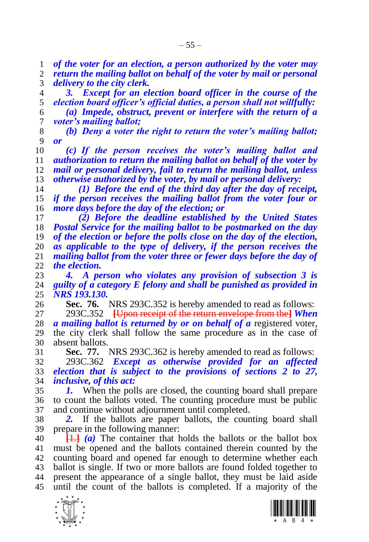*of the voter for an election, a person authorized by the voter may* 

 *return the mailing ballot on behalf of the voter by mail or personal delivery to the city clerk.*

 *3. Except for an election board officer in the course of the election board officer's official duties, a person shall not willfully:*

 *(a) Impede, obstruct, prevent or interfere with the return of a voter's mailing ballot;*

 *(b) Deny a voter the right to return the voter's mailing ballot; or*

 *(c) If the person receives the voter's mailing ballot and authorization to return the mailing ballot on behalf of the voter by mail or personal delivery, fail to return the mailing ballot, unless otherwise authorized by the voter, by mail or personal delivery:*

 *(1) Before the end of the third day after the day of receipt, if the person receives the mailing ballot from the voter four or more days before the day of the election; or*

 *(2) Before the deadline established by the United States Postal Service for the mailing ballot to be postmarked on the day of the election or before the polls close on the day of the election, as applicable to the type of delivery, if the person receives the mailing ballot from the voter three or fewer days before the day of the election.*

 *4. A person who violates any provision of subsection 3 is guilty of a category E felony and shall be punished as provided in NRS 193.130.*

 **Sec. 76.** NRS 293C.352 is hereby amended to read as follows: 293C.352 **[**Upon receipt of the return envelope from the**]** *When a mailing ballot is returned by or on behalf of a* registered voter, the city clerk shall follow the same procedure as in the case of absent ballots.

**Sec. 77.** NRS 293C.362 is hereby amended to read as follows:

 293C.362 *Except as otherwise provided for an affected election that is subject to the provisions of sections [2](#page-4-0) to [27,](#page-19-0) inclusive, of this act:*

 *1.* When the polls are closed, the counting board shall prepare to count the ballots voted. The counting procedure must be public and continue without adjournment until completed.

 *2.* If the ballots are paper ballots, the counting board shall prepare in the following manner:

 **[**1.**]** *(a)* The container that holds the ballots or the ballot box must be opened and the ballots contained therein counted by the counting board and opened far enough to determine whether each ballot is single. If two or more ballots are found folded together to present the appearance of a single ballot, they must be laid aside until the count of the ballots is completed. If a majority of the



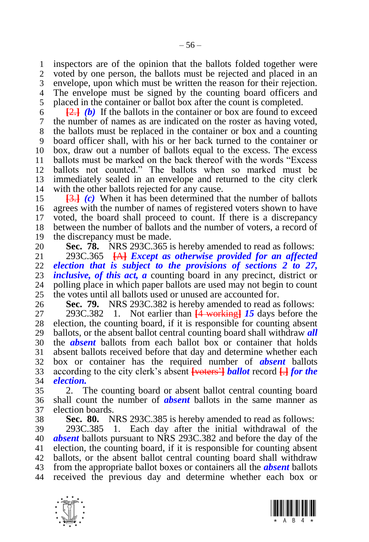inspectors are of the opinion that the ballots folded together were voted by one person, the ballots must be rejected and placed in an envelope, upon which must be written the reason for their rejection.

 The envelope must be signed by the counting board officers and placed in the container or ballot box after the count is completed.

 $\overline{2}$ .  $\overline{2}$  **(b)** If the ballots in the container or box are found to exceed the number of names as are indicated on the roster as having voted, the ballots must be replaced in the container or box and a counting board officer shall, with his or her back turned to the container or box, draw out a number of ballots equal to the excess. The excess ballots must be marked on the back thereof with the words "Excess ballots not counted." The ballots when so marked must be immediately sealed in an envelope and returned to the city clerk with the other ballots rejected for any cause.

 **[**3.**]** *(c)* When it has been determined that the number of ballots agrees with the number of names of registered voters shown to have voted, the board shall proceed to count. If there is a discrepancy between the number of ballots and the number of voters, a record of the discrepancy must be made.

20 **Sec. 78.** NRS 293C.365 is hereby amended to read as follows:<br>21 293C.365 **FAR** Except as otherwise provided for an affected

 293C.365 **[**A**]** *Except as otherwise provided for an affected election that is subject to the provisions of sections [2](#page-4-0) to [27,](#page-19-0) inclusive, of this act, a* counting board in any precinct, district or 24 polling place in which paper ballots are used may not begin to count polling place in which paper ballots are used may not begin to count the votes until all ballots used or unused are accounted for.

<span id="page-55-0"></span>**Sec. 79.** NRS 293C.382 is hereby amended to read as follows:

 293C.382 1. Not earlier than **[**4 working**]** *15* days before the election, the counting board, if it is responsible for counting absent ballots, or the absent ballot central counting board shall withdraw *all*  the *absent* ballots from each ballot box or container that holds absent ballots received before that day and determine whether each box or container has the required number of *absent* ballots according to the city clerk's absent **[**voters'**]** *ballot* record **[**.**]** *for the election.*

 2. The counting board or absent ballot central counting board shall count the number of *absent* ballots in the same manner as election boards.

<span id="page-55-1"></span>**Sec. 80.** NRS 293C.385 is hereby amended to read as follows:

 293C.385 1. Each day after the initial withdrawal of the *absent* ballots pursuant to NRS 293C.382 and before the day of the election, the counting board, if it is responsible for counting absent ballots, or the absent ballot central counting board shall withdraw from the appropriate ballot boxes or containers all the *absent* ballots received the previous day and determine whether each box or



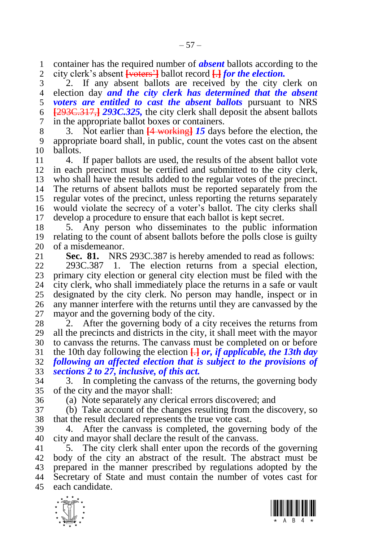container has the required number of *absent* ballots according to the city clerk's absent **[**voters'**]** ballot record **[**.**]** *for the election.*

 2. If any absent ballots are received by the city clerk on election day *and the city clerk has determined that the absent voters are entitled to cast the absent ballots* pursuant to NRS **[**293C.317,**]** *293C.325,* the city clerk shall deposit the absent ballots in the appropriate ballot boxes or containers.

 3. Not earlier than **[**4 working**]** *15* days before the election, the appropriate board shall, in public, count the votes cast on the absent ballots.

 4. If paper ballots are used, the results of the absent ballot vote in each precinct must be certified and submitted to the city clerk, who shall have the results added to the regular votes of the precinct. The returns of absent ballots must be reported separately from the regular votes of the precinct, unless reporting the returns separately would violate the secrecy of a voter's ballot. The city clerks shall develop a procedure to ensure that each ballot is kept secret.

 5. Any person who disseminates to the public information relating to the count of absent ballots before the polls close is guilty 20 of a misdemeanor.<br>21 **Sec. 81.** NRS

**Sec. 81.** NRS 293C.387 is hereby amended to read as follows:

 293C.387 1. The election returns from a special election, 23 primary city election or general city election must be filed with the 24 city clerk, who shall immediately place the returns in a safe or vault city clerk, who shall immediately place the returns in a safe or vault designated by the city clerk. No person may handle, inspect or in any manner interfere with the returns until they are canvassed by the mayor and the governing body of the city.

28 2. After the governing body of a city receives the returns from all the precincts and districts in the city, it shall meet with the mayor to canvass the returns. The canvass must be completed on or before the 10th day following the election **[**.**]** *or, if applicable, the 13th day following an affected election that is subject to the provisions of sections [2](#page-4-0) to [27,](#page-19-0) inclusive, of this act.*

 3. In completing the canvass of the returns, the governing body of the city and the mayor shall:

(a) Note separately any clerical errors discovered; and

 (b) Take account of the changes resulting from the discovery, so that the result declared represents the true vote cast.

 4. After the canvass is completed, the governing body of the city and mayor shall declare the result of the canvass.

 5. The city clerk shall enter upon the records of the governing body of the city an abstract of the result. The abstract must be prepared in the manner prescribed by regulations adopted by the Secretary of State and must contain the number of votes cast for each candidate.



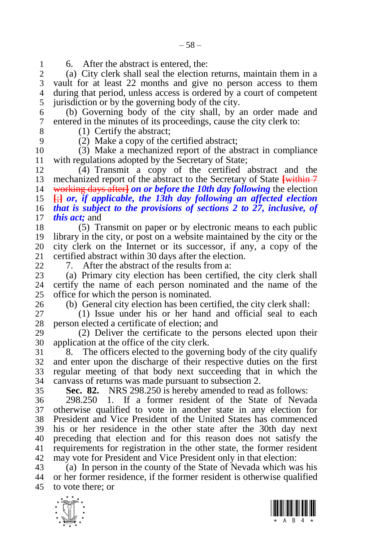1 6. After the abstract is entered, the:<br>2 (a) City clerk shall seal the election

(a) City clerk shall seal the election returns, maintain them in a vault for at least 22 months and give no person access to them during that period, unless access is ordered by a court of competent jurisdiction or by the governing body of the city.

 (b) Governing body of the city shall, by an order made and entered in the minutes of its proceedings, cause the city clerk to:

8 (1) Certify the abstract;<br>9 (2) Make a conv of the  $(2)$  Make a copy of the certified abstract;

 (3) Make a mechanized report of the abstract in compliance 11 with regulations adopted by the Secretary of State;<br>12 (4) Transmit a copy of the certified

 $(4)$  Transmit a copy of the certified abstract and the mechanized report of the abstract to the Secretary of State **[**within 7 working days after**]** *on or before the 10th day following* the election **[**;**]** *or, if applicable, the 13th day following an affected election that is subject to the provisions of sections [2](#page-4-0) to [27,](#page-19-0) inclusive, of this act;* and

 (5) Transmit on paper or by electronic means to each public library in the city, or post on a website maintained by the city or the 20 city clerk on the Internet or its successor, if any, a copy of the 21 certified abstract within 30 days after the election. certified abstract within 30 days after the election.

7. After the abstract of the results from a:

 (a) Primary city election has been certified, the city clerk shall certify the name of each person nominated and the name of the office for which the person is nominated.

(b) General city election has been certified, the city clerk shall:

 (1) Issue under his or her hand and official seal to each 28 person elected a certificate of election; and

 (2) Deliver the certificate to the persons elected upon their application at the office of the city clerk.

  $8$ . The officers elected to the governing body of the city qualify and enter upon the discharge of their respective duties on the first regular meeting of that body next succeeding that in which the canvass of returns was made pursuant to subsection 2.

**Sec. 82.** NRS 298.250 is hereby amended to read as follows:

 298.250 1. If a former resident of the State of Nevada otherwise qualified to vote in another state in any election for President and Vice President of the United States has commenced his or her residence in the other state after the 30th day next preceding that election and for this reason does not satisfy the requirements for registration in the other state, the former resident may vote for President and Vice President only in that election:

 (a) In person in the county of the State of Nevada which was his or her former residence, if the former resident is otherwise qualified to vote there; or



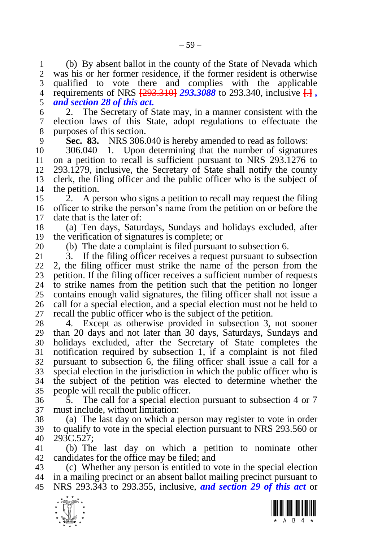(b) By absent ballot in the county of the State of Nevada which was his or her former residence, if the former resident is otherwise qualified to vote there and complies with the applicable requirements of NRS **[**293.310**]** *293.3088* to 293.340, inclusive **[**.**]** *, and section [28](#page-19-1) of this act.*

 2. The Secretary of State may, in a manner consistent with the election laws of this State, adopt regulations to effectuate the purposes of this section.

<span id="page-58-0"></span>**Sec. 83.** NRS 306.040 is hereby amended to read as follows:

 306.040 1. Upon determining that the number of signatures on a petition to recall is sufficient pursuant to NRS 293.1276 to 12 293.1279, inclusive, the Secretary of State shall notify the county clerk, the filing officer and the public officer who is the subject of the petition.

 2. A person who signs a petition to recall may request the filing officer to strike the person's name from the petition on or before the date that is the later of:

 (a) Ten days, Saturdays, Sundays and holidays excluded, after the verification of signatures is complete; or

20 (b) The date a complaint is filed pursuant to subsection 6.<br>21 3. If the filing officer receives a request pursuant to sub

3. If the filing officer receives a request pursuant to subsection 2, the filing officer must strike the name of the person from the 23 petition. If the filing officer receives a sufficient number of requests 24 to strike names from the petition such that the petition no longer to strike names from the petition such that the petition no longer contains enough valid signatures, the filing officer shall not issue a call for a special election, and a special election must not be held to recall the public officer who is the subject of the petition.

 4. Except as otherwise provided in subsection 3, not sooner than 20 days and not later than 30 days, Saturdays, Sundays and holidays excluded, after the Secretary of State completes the notification required by subsection 1, if a complaint is not filed pursuant to subsection 6, the filing officer shall issue a call for a special election in the jurisdiction in which the public officer who is the subject of the petition was elected to determine whether the people will recall the public officer.

 5. The call for a special election pursuant to subsection 4 or 7 must include, without limitation:

 (a) The last day on which a person may register to vote in order to qualify to vote in the special election pursuant to NRS 293.560 or 293C.527;

 (b) The last day on which a petition to nominate other candidates for the office may be filed; and

 (c) Whether any person is entitled to vote in the special election in a mailing precinct or an absent ballot mailing precinct pursuant to NRS 293.343 to 293.355, inclusive, *and section [29](#page-20-0) of this act* or



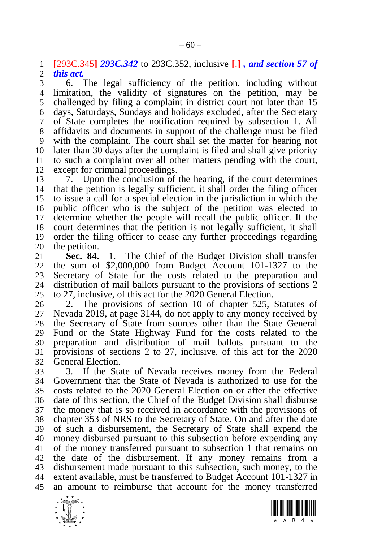**[**293C.345**]** *293C.342* to 293C.352, inclusive **[**.**]** *, and section [57](#page-40-1) of* 

*this act.*

 6. The legal sufficiency of the petition, including without limitation, the validity of signatures on the petition, may be challenged by filing a complaint in district court not later than 15 days, Saturdays, Sundays and holidays excluded, after the Secretary of State completes the notification required by subsection 1. All affidavits and documents in support of the challenge must be filed with the complaint. The court shall set the matter for hearing not later than 30 days after the complaint is filed and shall give priority to such a complaint over all other matters pending with the court, except for criminal proceedings.

 7. Upon the conclusion of the hearing, if the court determines that the petition is legally sufficient, it shall order the filing officer to issue a call for a special election in the jurisdiction in which the public officer who is the subject of the petition was elected to determine whether the people will recall the public officer. If the court determines that the petition is not legally sufficient, it shall order the filing officer to cease any further proceedings regarding 20 the petition.<br>21 **Sec. 84.** 

<span id="page-59-0"></span>**Sec. 84.** 1. The Chief of the Budget Division shall transfer the sum of \$2,000,000 from Budget Account 101-1327 to the 23 Secretary of State for the costs related to the preparation and 24 distribution of mail ballots pursuant to the provisions of sections 2 distribution of mail ballots pursuant to the provisions of sections [2](#page-4-0) to [27,](#page-19-0) inclusive, of this act for the 2020 General Election.

 2. The provisions of section 10 of chapter 525, Statutes of Nevada 2019, at page 3144, do not apply to any money received by the Secretary of State from sources other than the State General Fund or the State Highway Fund for the costs related to the preparation and distribution of mail ballots pursuant to the provisions of sections [2](#page-4-0) to [27,](#page-19-0) inclusive, of this act for the 2020 General Election.

 3. If the State of Nevada receives money from the Federal Government that the State of Nevada is authorized to use for the costs related to the 2020 General Election on or after the effective date of this section, the Chief of the Budget Division shall disburse the money that is so received in accordance with the provisions of chapter 353 of NRS to the Secretary of State. On and after the date of such a disbursement, the Secretary of State shall expend the money disbursed pursuant to this subsection before expending any of the money transferred pursuant to subsection 1 that remains on the date of the disbursement. If any money remains from a disbursement made pursuant to this subsection, such money, to the extent available, must be transferred to Budget Account 101-1327 in an amount to reimburse that account for the money transferred



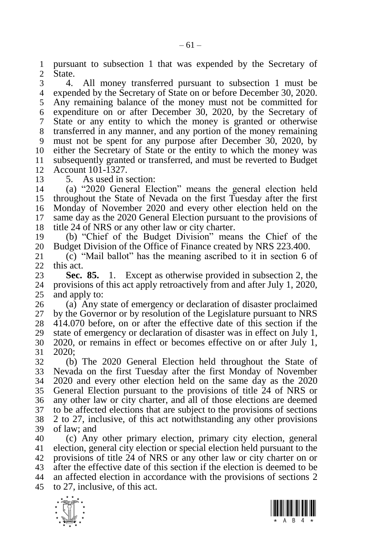pursuant to subsection 1 that was expended by the Secretary of State.

 4. All money transferred pursuant to subsection 1 must be expended by the Secretary of State on or before December 30, 2020. Any remaining balance of the money must not be committed for expenditure on or after December 30, 2020, by the Secretary of State or any entity to which the money is granted or otherwise transferred in any manner, and any portion of the money remaining must not be spent for any purpose after December 30, 2020, by either the Secretary of State or the entity to which the money was subsequently granted or transferred, and must be reverted to Budget Account 101-1327.

5. As used in section:

 (a) "2020 General Election" means the general election held throughout the State of Nevada on the first Tuesday after the first Monday of November 2020 and every other election held on the same day as the 2020 General Election pursuant to the provisions of title 24 of NRS or any other law or city charter.

 (b) "Chief of the Budget Division" means the Chief of the 20 Budget Division of the Office of Finance created by NRS 223.400.<br>21 (c) "Mail ballot" has the meaning ascribed to it in section 6

 (c) "Mail ballot" has the meaning ascribed to it in section [6](#page-5-3) of this act.

<span id="page-60-0"></span>**Sec. 85.** 1. Except as otherwise provided in subsection 2, the provisions of this act apply retroactively from and after July 1, 2020. provisions of this act apply retroactively from and after July 1, 2020, and apply to:

 (a) Any state of emergency or declaration of disaster proclaimed by the Governor or by resolution of the Legislature pursuant to NRS 414.070 before, on or after the effective date of this section if the state of emergency or declaration of disaster was in effect on July 1, 2020, or remains in effect or becomes effective on or after July 1, 2020;

 (b) The 2020 General Election held throughout the State of Nevada on the first Tuesday after the first Monday of November 2020 and every other election held on the same day as the 2020 General Election pursuant to the provisions of title 24 of NRS or any other law or city charter, and all of those elections are deemed to be affected elections that are subject to the provisions of sections [2](#page-4-0) to [27,](#page-19-0) inclusive, of this act notwithstanding any other provisions of law; and

 (c) Any other primary election, primary city election, general election, general city election or special election held pursuant to the provisions of title 24 of NRS or any other law or city charter on or after the effective date of this section if the election is deemed to be an affected election in accordance with the provisions of sections [2](#page-4-0) to [27,](#page-19-0) inclusive, of this act.